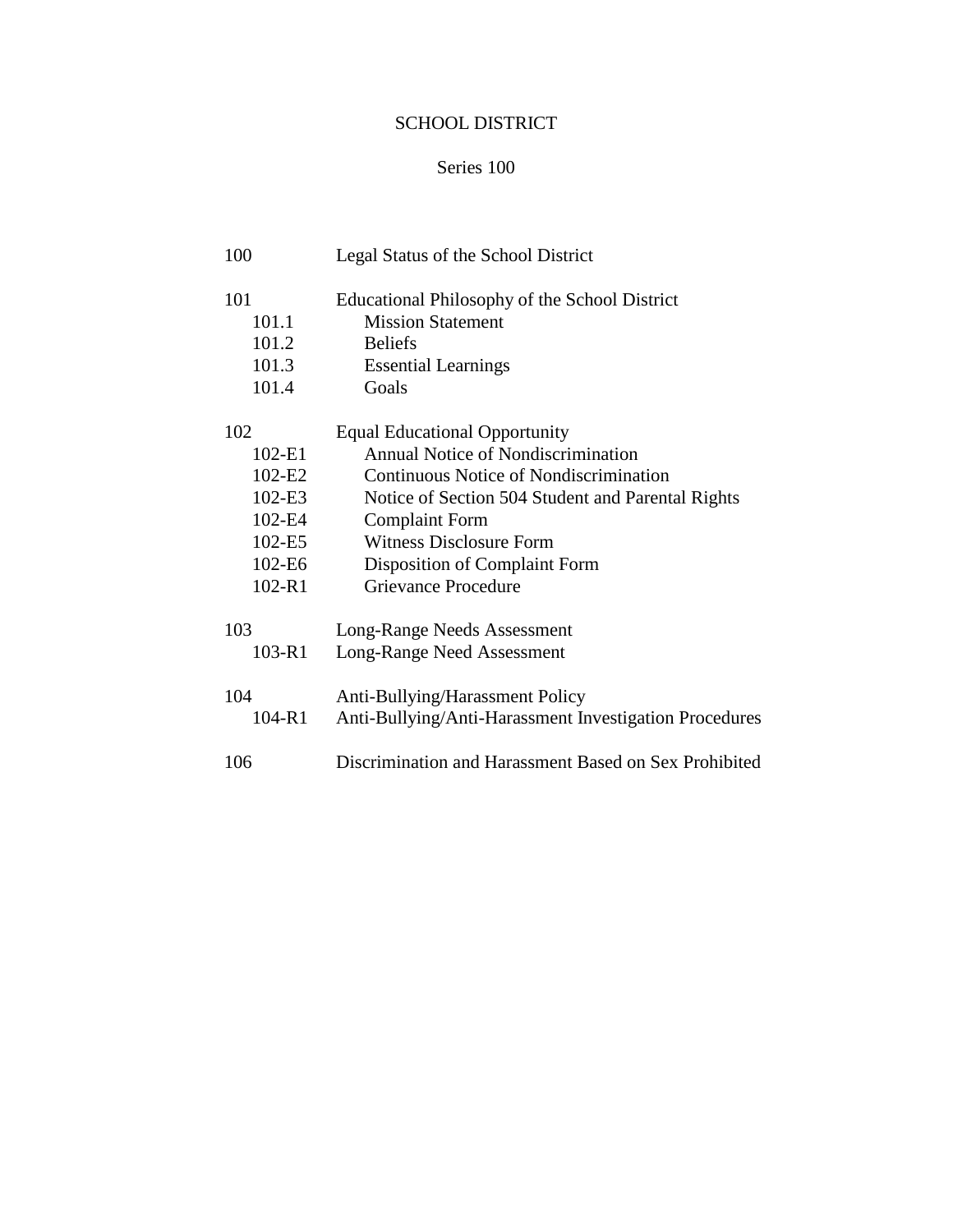# SCHOOL DISTRICT

# Series 100

| 100        | Legal Status of the School District                    |  |
|------------|--------------------------------------------------------|--|
| 101        | Educational Philosophy of the School District          |  |
| 101.1      | <b>Mission Statement</b>                               |  |
| 101.2      | <b>Beliefs</b>                                         |  |
| 101.3      | <b>Essential Learnings</b>                             |  |
| 101.4      | Goals                                                  |  |
| 102        | <b>Equal Educational Opportunity</b>                   |  |
| 102-E1     | <b>Annual Notice of Nondiscrimination</b>              |  |
| $102-E2$   | Continuous Notice of Nondiscrimination                 |  |
| 102-E3     | Notice of Section 504 Student and Parental Rights      |  |
| $102 - E4$ | <b>Complaint Form</b>                                  |  |
| $102-E5$   | <b>Witness Disclosure Form</b>                         |  |
| 102-E6     | Disposition of Complaint Form                          |  |
| $102 - R1$ | <b>Grievance Procedure</b>                             |  |
| 103        | Long-Range Needs Assessment                            |  |
| $103 - R1$ | <b>Long-Range Need Assessment</b>                      |  |
| 104        | Anti-Bullying/Harassment Policy                        |  |
| 104-R1     | Anti-Bullying/Anti-Harassment Investigation Procedures |  |
| 106        | Discrimination and Harassment Based on Sex Prohibited  |  |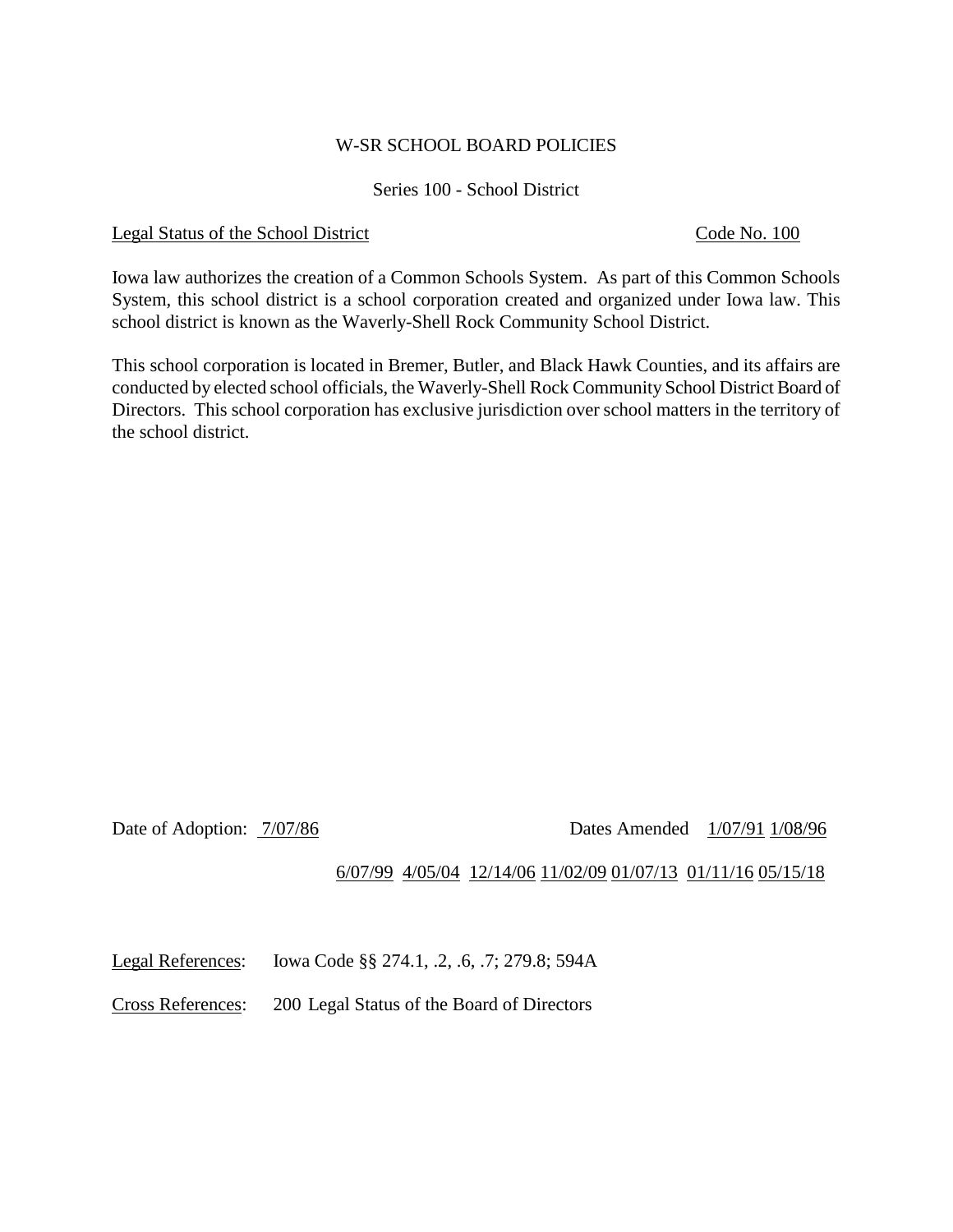#### Series 100 - School District

#### Legal Status of the School District Code No. 100

Iowa law authorizes the creation of a Common Schools System. As part of this Common Schools System, this school district is a school corporation created and organized under Iowa law. This school district is known as the Waverly-Shell Rock Community School District.

This school corporation is located in Bremer, Butler, and Black Hawk Counties, and its affairs are conducted by elected school officials, the Waverly-Shell Rock Community School District Board of Directors. This school corporation has exclusive jurisdiction over school matters in the territory of the school district.

#### Date of Adoption:  $\frac{7}{07/86}$  Dates Amended  $\frac{1}{07/91}$   $\frac{1}{08/96}$

#### 6/07/99 4/05/04 12/14/06 11/02/09 01/07/13 01/11/16 05/15/18

Legal References: Iowa Code §§ 274.1, .2, .6, .7; 279.8; 594A

Cross References: 200 Legal Status of the Board of Directors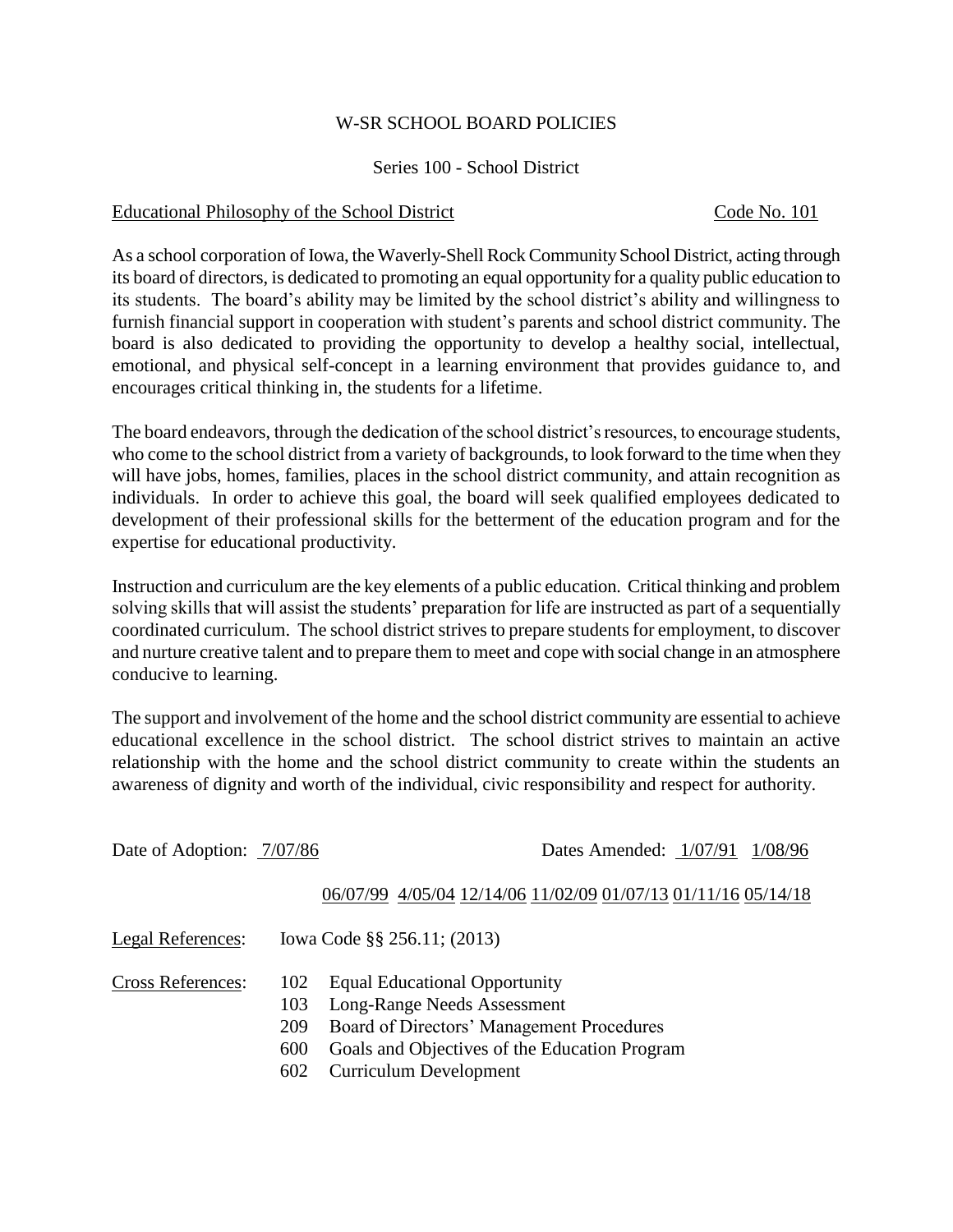#### Series 100 - School District

#### Educational Philosophy of the School District Code No. 101

As a school corporation of Iowa, the Waverly-Shell Rock Community School District, acting through its board of directors, is dedicated to promoting an equal opportunity for a quality public education to its students. The board's ability may be limited by the school district's ability and willingness to furnish financial support in cooperation with student's parents and school district community. The board is also dedicated to providing the opportunity to develop a healthy social, intellectual, emotional, and physical self-concept in a learning environment that provides guidance to, and encourages critical thinking in, the students for a lifetime.

The board endeavors, through the dedication of the school district's resources, to encourage students, who come to the school district from a variety of backgrounds, to look forward to the time when they will have jobs, homes, families, places in the school district community, and attain recognition as individuals. In order to achieve this goal, the board will seek qualified employees dedicated to development of their professional skills for the betterment of the education program and for the expertise for educational productivity.

Instruction and curriculum are the key elements of a public education. Critical thinking and problem solving skills that will assist the students' preparation for life are instructed as part of a sequentially coordinated curriculum. The school district strives to prepare students for employment, to discover and nurture creative talent and to prepare them to meet and cope with social change in an atmosphere conducive to learning.

The support and involvement of the home and the school district community are essential to achieve educational excellence in the school district. The school district strives to maintain an active relationship with the home and the school district community to create within the students an awareness of dignity and worth of the individual, civic responsibility and respect for authority.

Date of Adoption: 7/07/86 Dates Amended: 1/07/91 1/08/96

## 06/07/99 4/05/04 12/14/06 11/02/09 01/07/13 01/11/16 05/14/18

Legal References: Iowa Code §§ 256.11; (2013)

Cross References: 102 Equal Educational Opportunity

- 103 Long-Range Needs Assessment
- 209 Board of Directors' Management Procedures
- 600 Goals and Objectives of the Education Program
- 602 Curriculum Development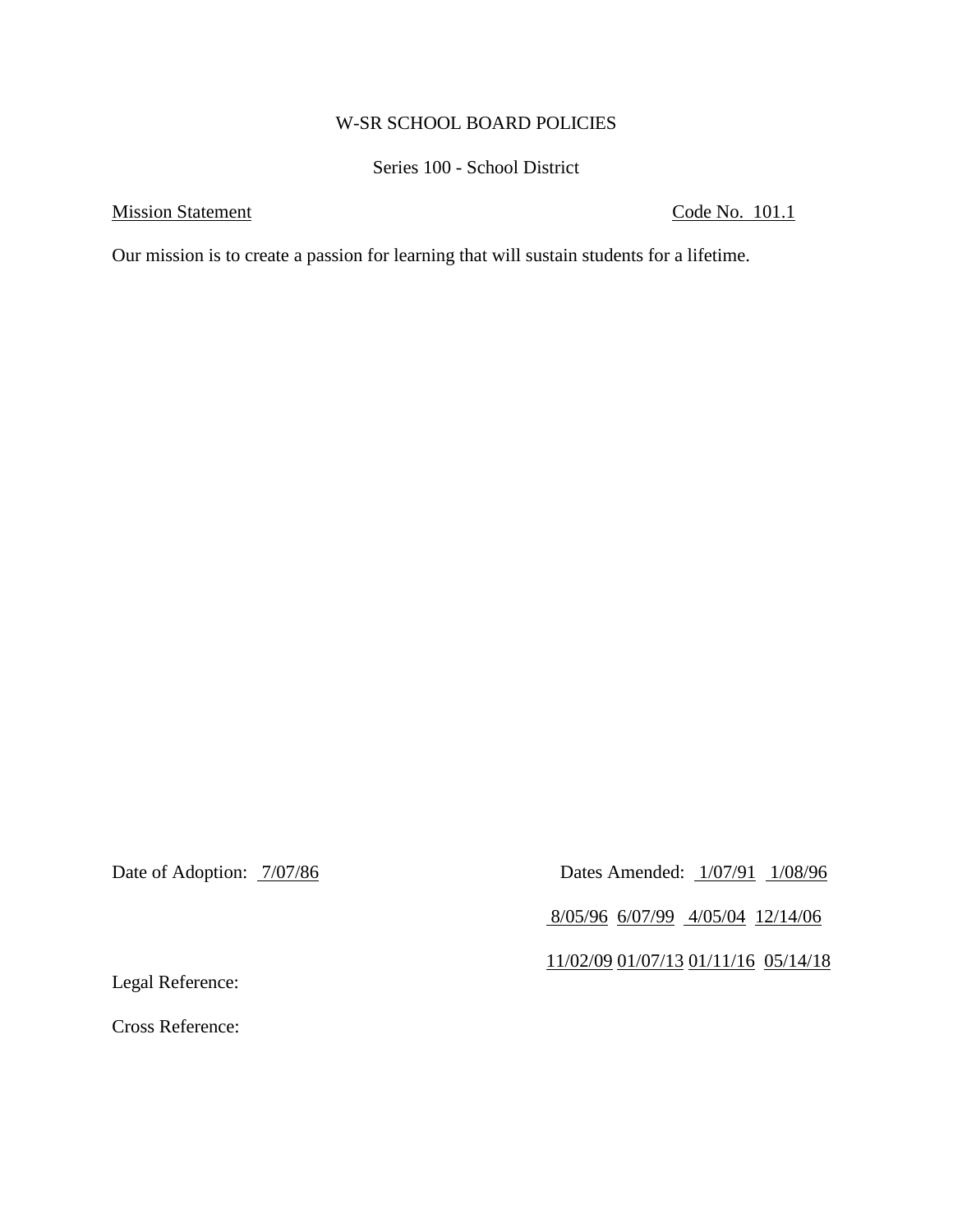Series 100 - School District

#### Mission Statement Code No. 101.1

Our mission is to create a passion for learning that will sustain students for a lifetime.

Date of Adoption:  $\frac{7}{07/86}$  Dates Amended:  $\frac{1}{07/91}$   $\frac{1}{08/96}$ 

8/05/96 6/07/99 4/05/04 12/14/06

11/02/09 01/07/13 01/11/16 05/14/18

Legal Reference:

Cross Reference: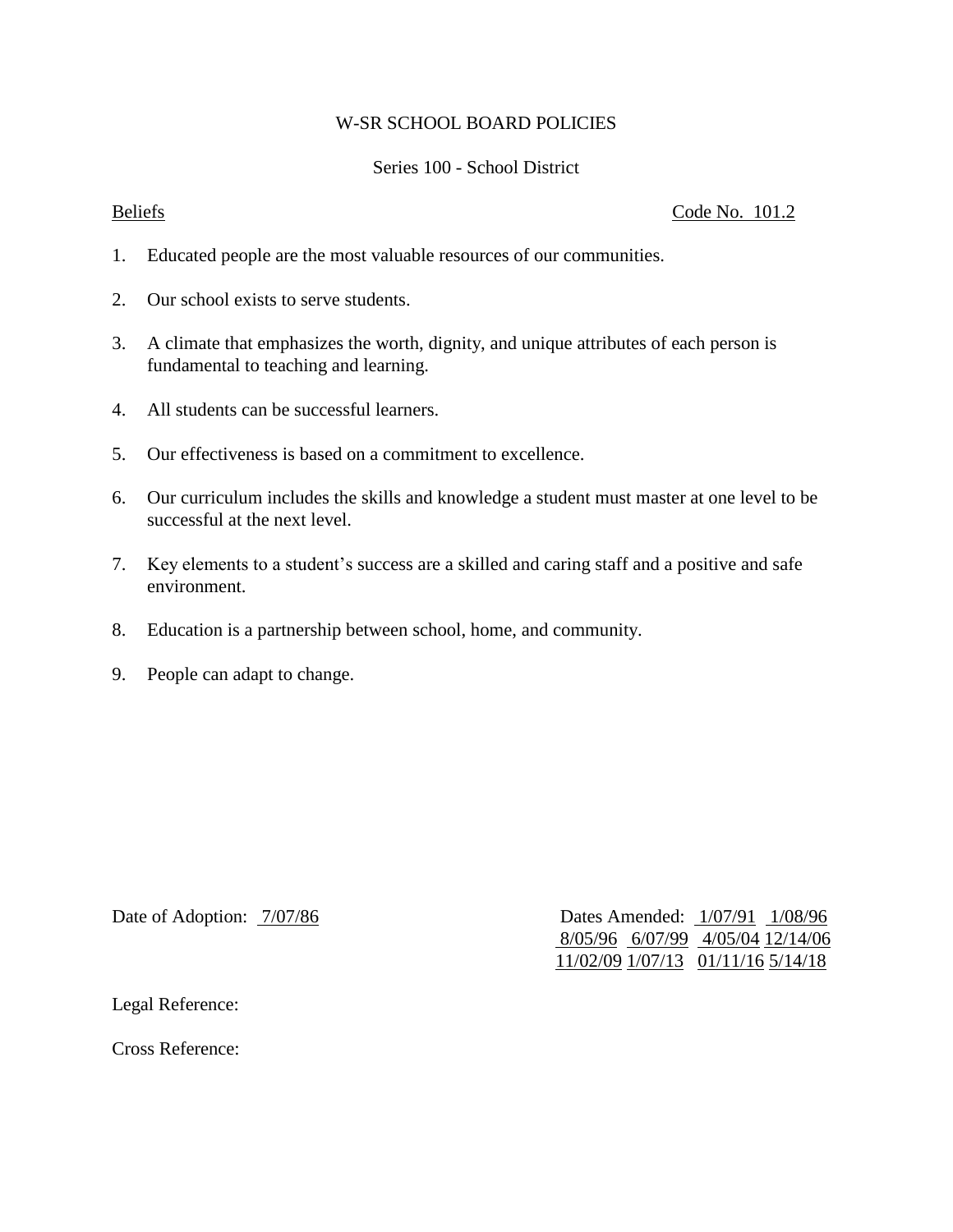#### Series 100 - School District

#### Beliefs Code No. 101.2

- 1. Educated people are the most valuable resources of our communities.
- 2. Our school exists to serve students.
- 3. A climate that emphasizes the worth, dignity, and unique attributes of each person is fundamental to teaching and learning.
- 4. All students can be successful learners.
- 5. Our effectiveness is based on a commitment to excellence.
- 6. Our curriculum includes the skills and knowledge a student must master at one level to be successful at the next level.
- 7. Key elements to a student's success are a skilled and caring staff and a positive and safe environment.
- 8. Education is a partnership between school, home, and community.
- 9. People can adapt to change.

Date of Adoption:  $\frac{7}{07/86}$  Dates Amended:  $\frac{1}{07/91}$   $\frac{1}{08/96}$  8/05/96 6/07/99 4/05/04 12/14/06 11/02/09 1/07/13 01/11/16 5/14/18

Legal Reference:

Cross Reference: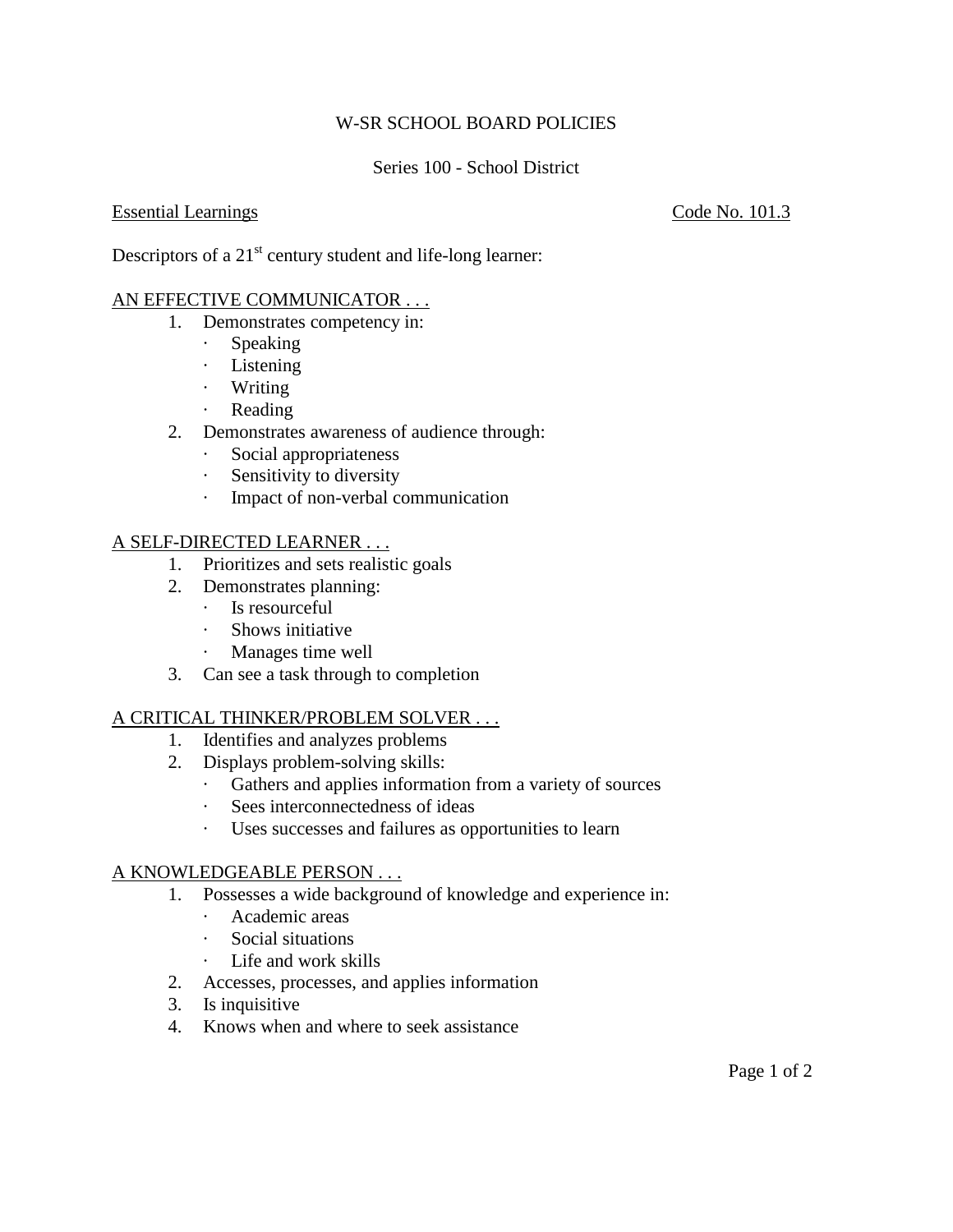#### Series 100 - School District

#### Essential Learnings Code No. 101.3

Descriptors of a  $21<sup>st</sup>$  century student and life-long learner:

#### AN EFFECTIVE COMMUNICATOR . . .

- 1. Demonstrates competency in:
	- · Speaking
	- · Listening
	- · Writing
	- · Reading
- 2. Demonstrates awareness of audience through:
	- · Social appropriateness
	- · Sensitivity to diversity
	- Impact of non-verbal communication

#### A SELF-DIRECTED LEARNER . . .

- 1. Prioritizes and sets realistic goals
- 2. Demonstrates planning:
	- · Is resourceful
	- · Shows initiative
	- · Manages time well
- 3. Can see a task through to completion

#### A CRITICAL THINKER/PROBLEM SOLVER . . .

- 1. Identifies and analyzes problems
- 2. Displays problem-solving skills:
	- · Gathers and applies information from a variety of sources
	- Sees interconnectedness of ideas
	- · Uses successes and failures as opportunities to learn

#### A KNOWLEDGEABLE PERSON . . .

- 1. Possesses a wide background of knowledge and experience in:
	- · Academic areas
	- · Social situations
	- Life and work skills
- 2. Accesses, processes, and applies information
- 3. Is inquisitive
- 4. Knows when and where to seek assistance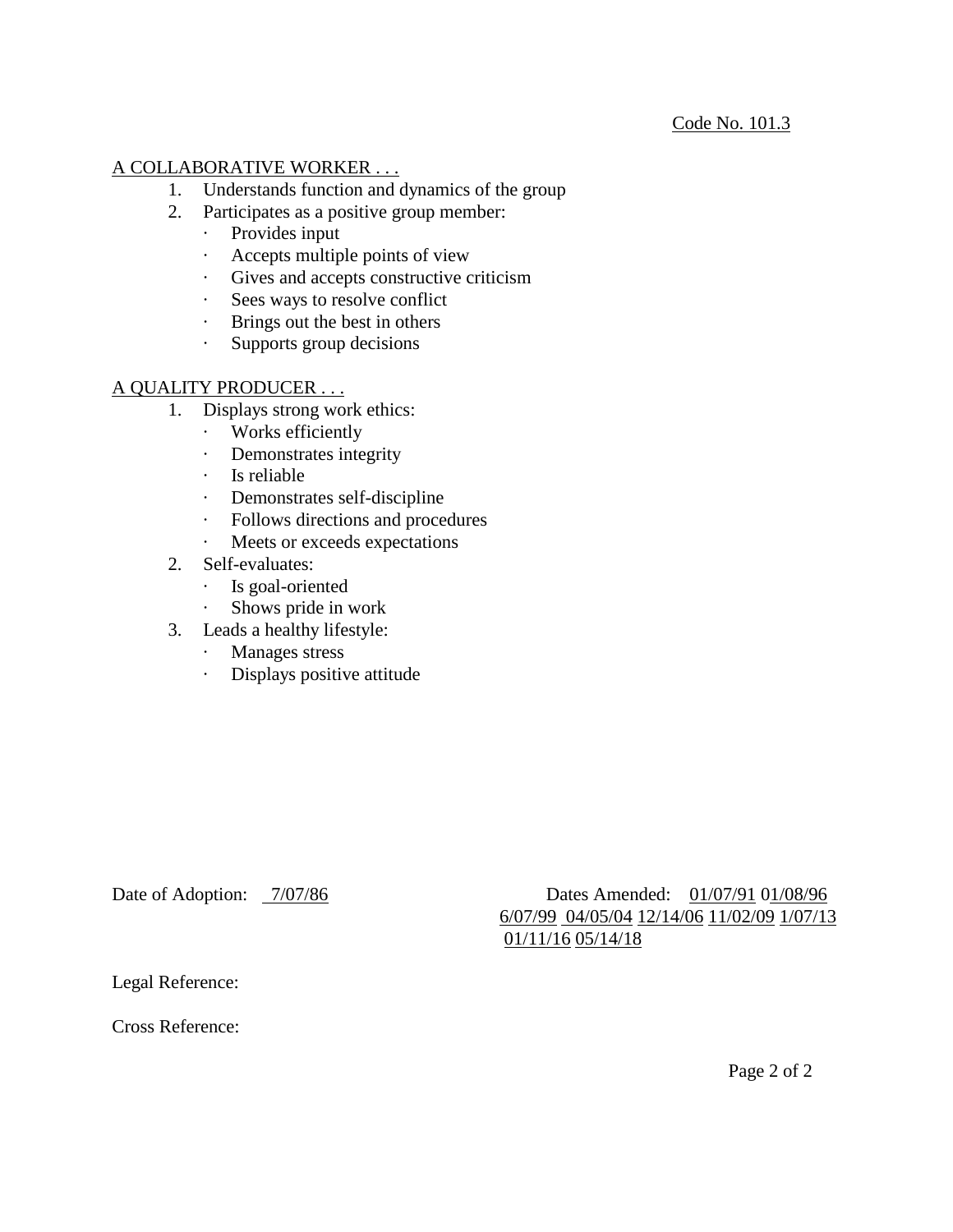#### A COLLABORATIVE WORKER . . .

- 1. Understands function and dynamics of the group
- 2. Participates as a positive group member:
	- · Provides input
	- · Accepts multiple points of view
	- · Gives and accepts constructive criticism
	- · Sees ways to resolve conflict
	- · Brings out the best in others
	- · Supports group decisions

#### A QUALITY PRODUCER . . .

- 1. Displays strong work ethics:
	- · Works efficiently
	- · Demonstrates integrity
	- · Is reliable
	- · Demonstrates self-discipline
	- · Follows directions and procedures
	- · Meets or exceeds expectations
- 2. Self-evaluates:
	- · Is goal-oriented
	- · Shows pride in work
- 3. Leads a healthy lifestyle:
	- · Manages stress
	- · Displays positive attitude

Date of Adoption: 7/07/86 Dates Amended: 01/07/91 01/08/96 6/07/99 04/05/04 12/14/06 11/02/09 1/07/13 01/11/16 05/14/18

Legal Reference:

Cross Reference: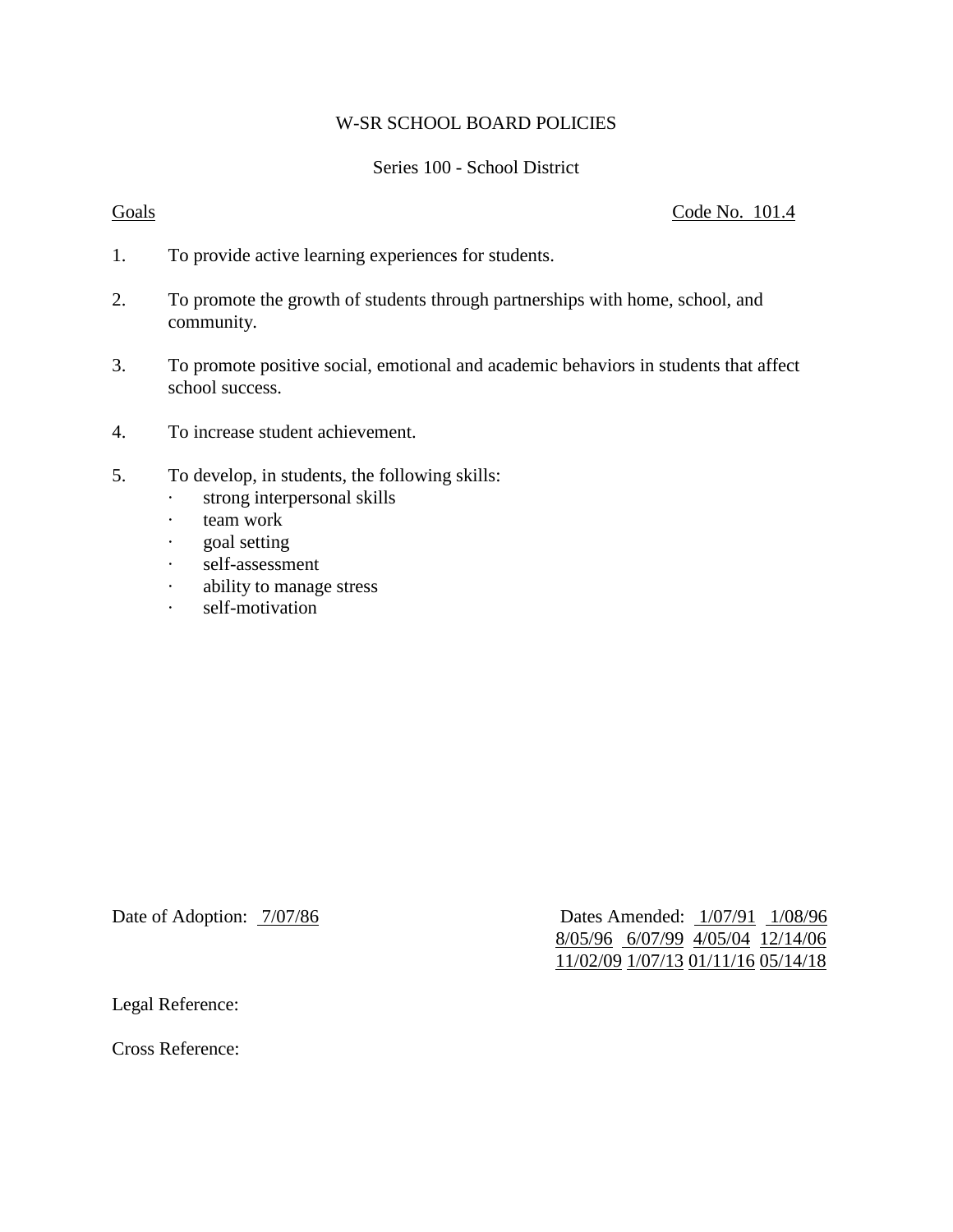#### Series 100 - School District

Goals Code No. 101.4

- 1. To provide active learning experiences for students.
- 2. To promote the growth of students through partnerships with home, school, and community.
- 3. To promote positive social, emotional and academic behaviors in students that affect school success.
- 4. To increase student achievement.
- 5. To develop, in students, the following skills:
	- · strong interpersonal skills
	- · team work
	- · goal setting
	- · self-assessment
	- · ability to manage stress
	- · self-motivation

Date of Adoption:  $\frac{7}{07/86}$  Dates Amended:  $\frac{1}{07/91}$   $\frac{1}{08/96}$  8/05/96 6/07/99 4/05/04 12/14/06 11/02/09 1/07/13 01/11/16 05/14/18

Legal Reference:

Cross Reference: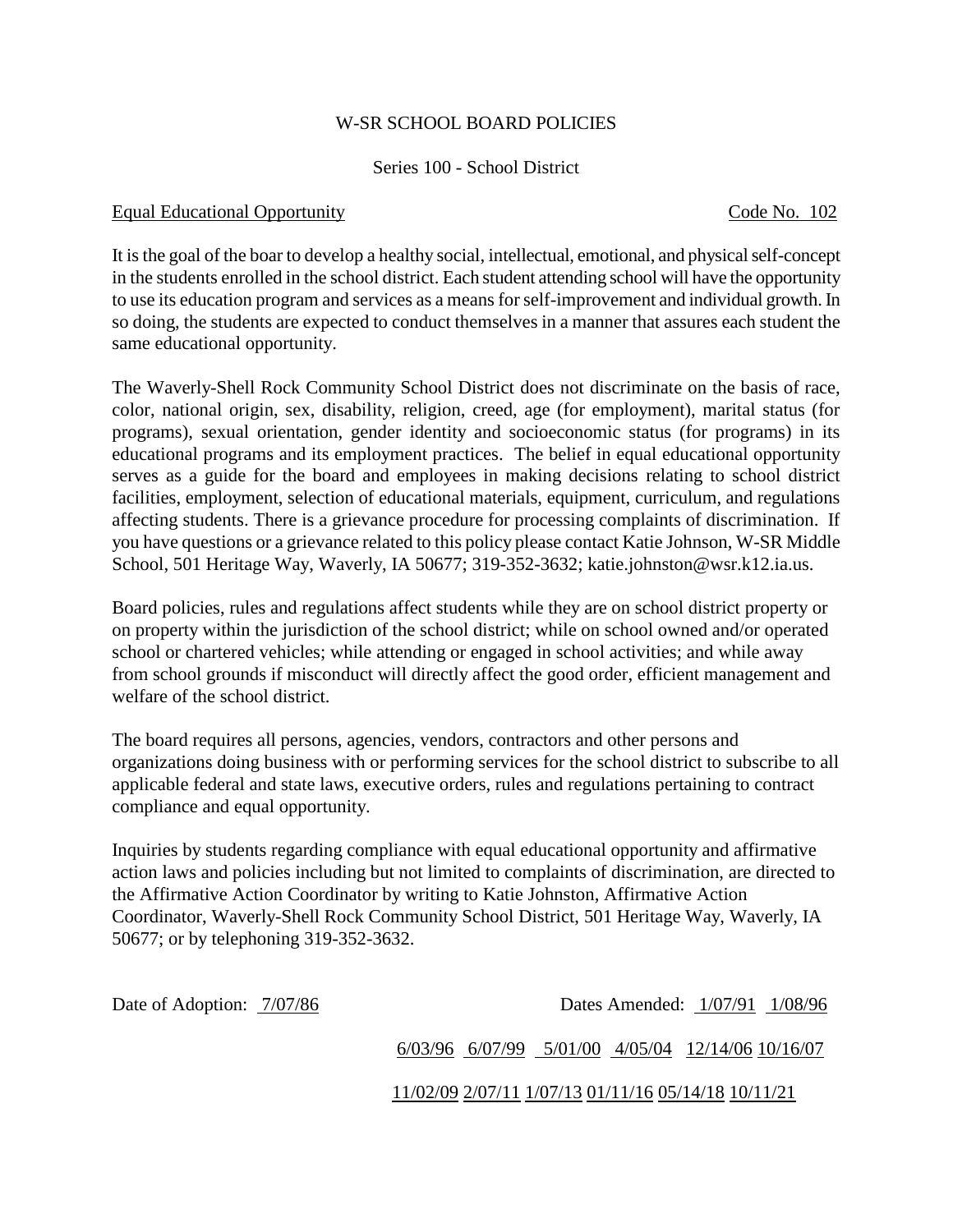#### Series 100 - School District

#### Equal Educational Opportunity Code No. 102

It is the goal of the boar to develop a healthy social, intellectual, emotional, and physical self-concept in the students enrolled in the school district. Each student attending school will have the opportunity to use its education program and services as a means for self-improvement and individual growth. In so doing, the students are expected to conduct themselves in a manner that assures each student the same educational opportunity.

The Waverly-Shell Rock Community School District does not discriminate on the basis of race, color, national origin, sex, disability, religion, creed, age (for employment), marital status (for programs), sexual orientation, gender identity and socioeconomic status (for programs) in its educational programs and its employment practices. The belief in equal educational opportunity serves as a guide for the board and employees in making decisions relating to school district facilities, employment, selection of educational materials, equipment, curriculum, and regulations affecting students. There is a grievance procedure for processing complaints of discrimination. If you have questions or a grievance related to this policy please contact Katie Johnson, W-SR Middle School, 501 Heritage Way, Waverly, IA 50677; 319-352-3632; katie.johnston@wsr.k12.ia.us.

Board policies, rules and regulations affect students while they are on school district property or on property within the jurisdiction of the school district; while on school owned and/or operated school or chartered vehicles; while attending or engaged in school activities; and while away from school grounds if misconduct will directly affect the good order, efficient management and welfare of the school district.

The board requires all persons, agencies, vendors, contractors and other persons and organizations doing business with or performing services for the school district to subscribe to all applicable federal and state laws, executive orders, rules and regulations pertaining to contract compliance and equal opportunity.

Inquiries by students regarding compliance with equal educational opportunity and affirmative action laws and policies including but not limited to complaints of discrimination, are directed to the Affirmative Action Coordinator by writing to Katie Johnston, Affirmative Action Coordinator, Waverly-Shell Rock Community School District, 501 Heritage Way, Waverly, IA 50677; or by telephoning 319-352-3632.

Date of Adoption: 7/07/86 Dates Amended: 1/07/91 1/08/96 6/03/96 6/07/99 5/01/00 4/05/04 12/14/06 10/16/07 11/02/09 2/07/11 1/07/13 01/11/16 05/14/18 10/11/21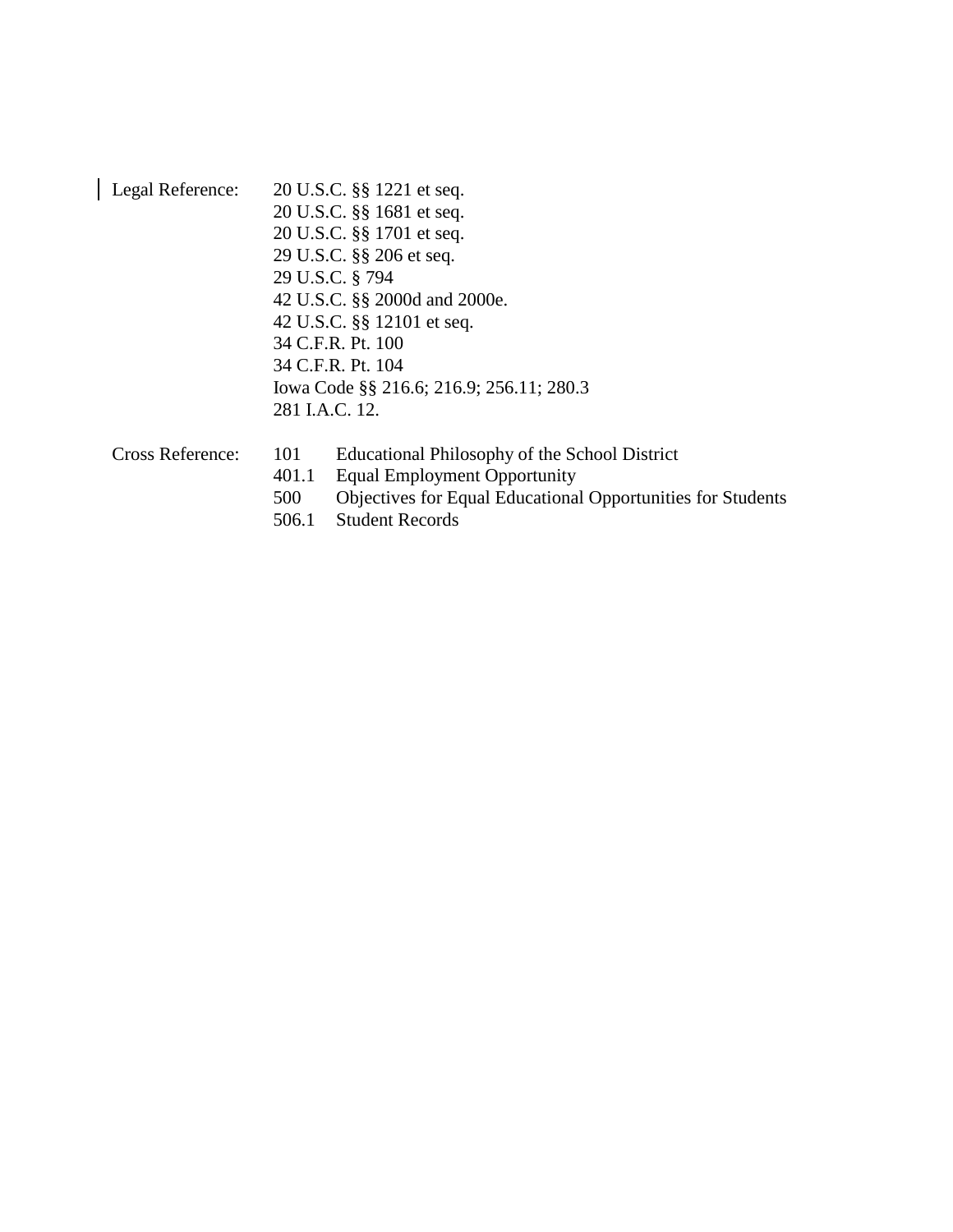| Legal Reference: |                                          | 20 U.S.C. §§ 1221 et seq.                                   |  |  |
|------------------|------------------------------------------|-------------------------------------------------------------|--|--|
|                  |                                          | 20 U.S.C. §§ 1681 et seq.                                   |  |  |
|                  |                                          | 20 U.S.C. §§ 1701 et seq.                                   |  |  |
|                  |                                          | 29 U.S.C. §§ 206 et seq.                                    |  |  |
|                  |                                          | 29 U.S.C. § 794                                             |  |  |
|                  |                                          | 42 U.S.C. §§ 2000d and 2000e.                               |  |  |
|                  | 42 U.S.C. §§ 12101 et seq.               |                                                             |  |  |
|                  | 34 C.F.R. Pt. 100                        |                                                             |  |  |
|                  | 34 C.F.R. Pt. 104                        |                                                             |  |  |
|                  | Iowa Code §§ 216.6; 216.9; 256.11; 280.3 |                                                             |  |  |
|                  | 281 I.A.C. 12.                           |                                                             |  |  |
| Cross Reference: | 101                                      | Educational Philosophy of the School District               |  |  |
|                  | 401.1                                    | <b>Equal Employment Opportunity</b>                         |  |  |
|                  | 500                                      | Objectives for Equal Educational Opportunities for Students |  |  |
|                  | 506.1                                    | <b>Student Records</b>                                      |  |  |

 $\begin{array}{c} \rule{0pt}{2ex} \rule{0pt}{2ex} \rule{0pt}{2ex} \rule{0pt}{2ex} \rule{0pt}{2ex} \rule{0pt}{2ex} \rule{0pt}{2ex} \rule{0pt}{2ex} \rule{0pt}{2ex} \rule{0pt}{2ex} \rule{0pt}{2ex} \rule{0pt}{2ex} \rule{0pt}{2ex} \rule{0pt}{2ex} \rule{0pt}{2ex} \rule{0pt}{2ex} \rule{0pt}{2ex} \rule{0pt}{2ex} \rule{0pt}{2ex} \rule{0pt}{2ex} \rule{0pt}{2ex} \rule{0pt}{2ex} \rule{0pt}{2ex} \rule{0pt}{$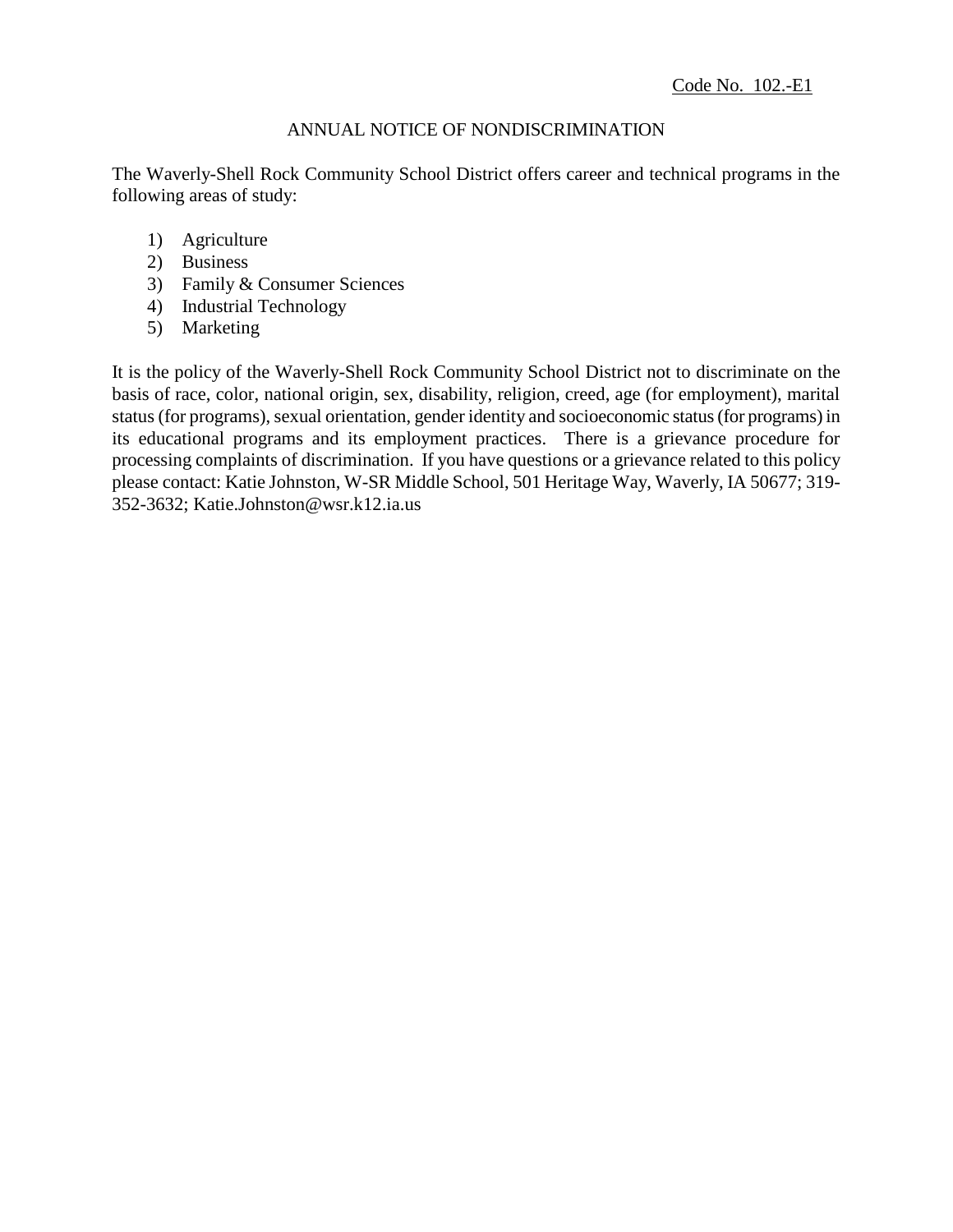#### ANNUAL NOTICE OF NONDISCRIMINATION

The Waverly-Shell Rock Community School District offers career and technical programs in the following areas of study:

- 1) Agriculture
- 2) Business
- 3) Family & Consumer Sciences
- 4) Industrial Technology
- 5) Marketing

It is the policy of the Waverly-Shell Rock Community School District not to discriminate on the basis of race, color, national origin, sex, disability, religion, creed, age (for employment), marital status (for programs), sexual orientation, gender identity and socioeconomic status (for programs) in its educational programs and its employment practices. There is a grievance procedure for processing complaints of discrimination. If you have questions or a grievance related to this policy please contact: Katie Johnston, W-SR Middle School, 501 Heritage Way, Waverly, IA 50677; 319- 352-3632; Katie.Johnston@wsr.k12.ia.us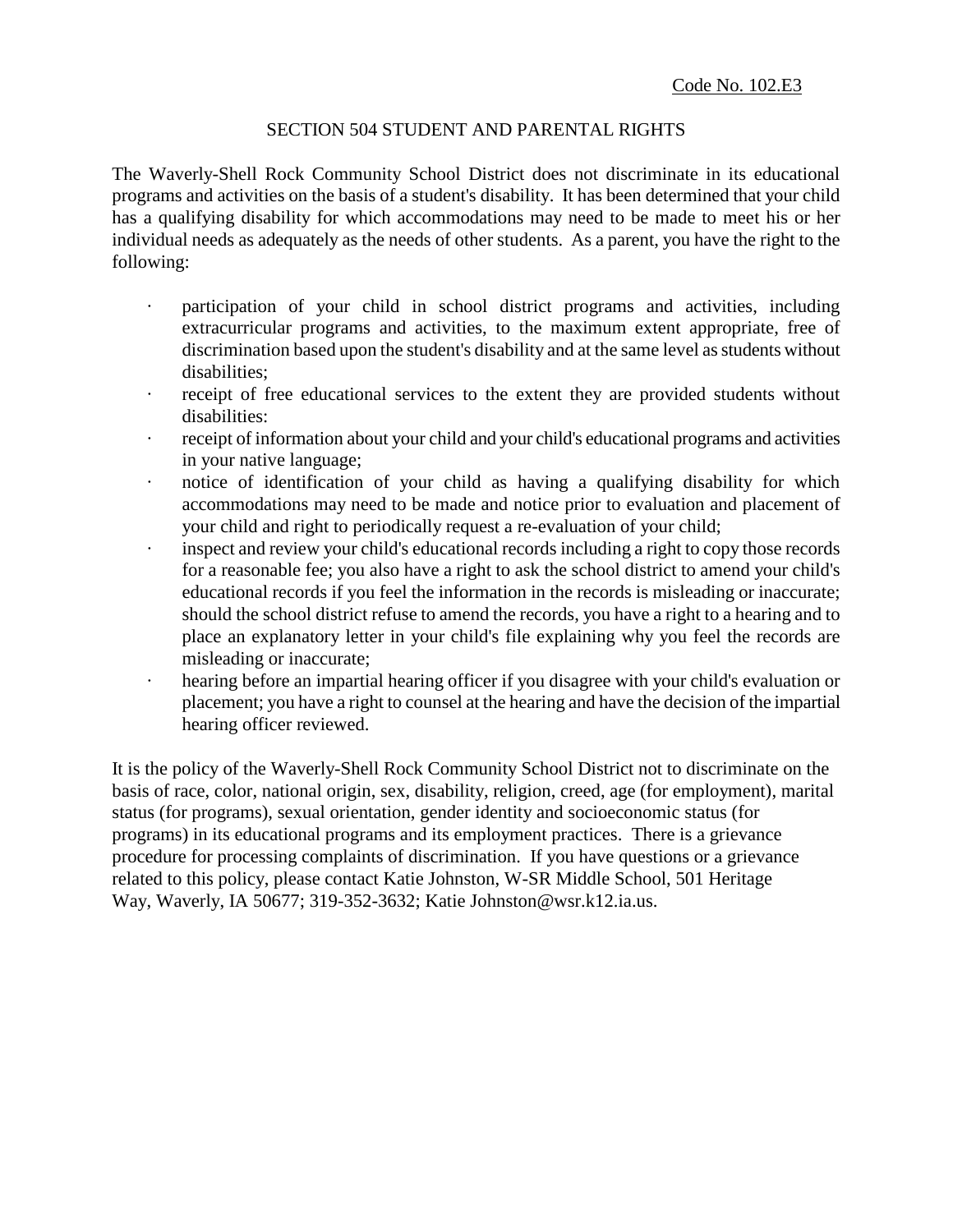## SECTION 504 STUDENT AND PARENTAL RIGHTS

The Waverly-Shell Rock Community School District does not discriminate in its educational programs and activities on the basis of a student's disability. It has been determined that your child has a qualifying disability for which accommodations may need to be made to meet his or her individual needs as adequately as the needs of other students. As a parent, you have the right to the following:

- · participation of your child in school district programs and activities, including extracurricular programs and activities, to the maximum extent appropriate, free of discrimination based upon the student's disability and at the same level as students without disabilities;
- receipt of free educational services to the extent they are provided students without disabilities:
- · receipt of information about your child and your child's educational programs and activities in your native language;
- notice of identification of your child as having a qualifying disability for which accommodations may need to be made and notice prior to evaluation and placement of your child and right to periodically request a re-evaluation of your child;
- inspect and review your child's educational records including a right to copy those records for a reasonable fee; you also have a right to ask the school district to amend your child's educational records if you feel the information in the records is misleading or inaccurate; should the school district refuse to amend the records, you have a right to a hearing and to place an explanatory letter in your child's file explaining why you feel the records are misleading or inaccurate;
- · hearing before an impartial hearing officer if you disagree with your child's evaluation or placement; you have a right to counsel at the hearing and have the decision of the impartial hearing officer reviewed.

It is the policy of the Waverly-Shell Rock Community School District not to discriminate on the basis of race, color, national origin, sex, disability, religion, creed, age (for employment), marital status (for programs), sexual orientation, gender identity and socioeconomic status (for programs) in its educational programs and its employment practices. There is a grievance procedure for processing complaints of discrimination. If you have questions or a grievance related to this policy, please contact Katie Johnston, W-SR Middle School, 501 Heritage Way, Waverly, IA 50677; 319-352-3632; Katie Johnston@wsr.k12.ia.us.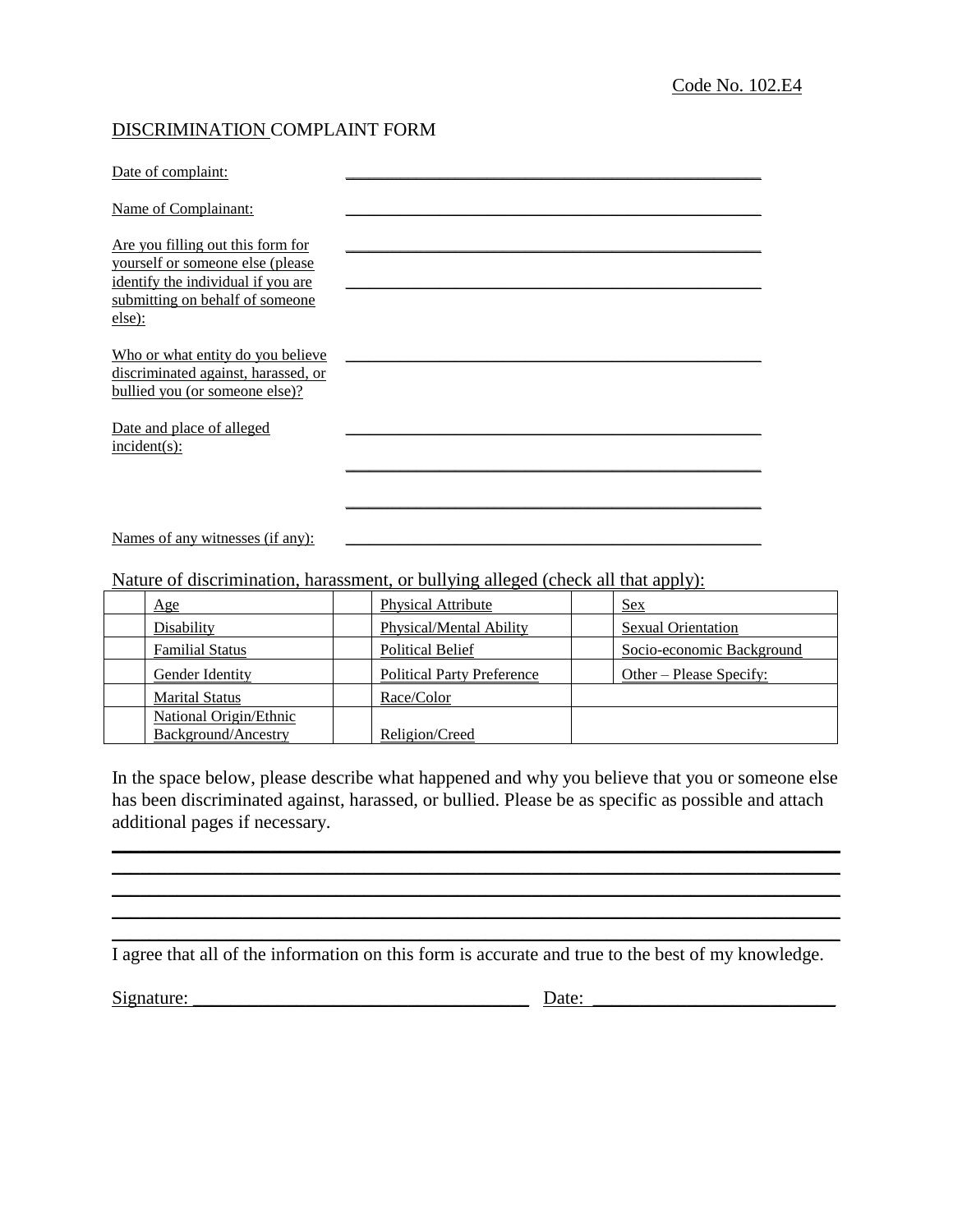## DISCRIMINATION COMPLAINT FORM

| Date of complaint:                                                                                                                                       |  |
|----------------------------------------------------------------------------------------------------------------------------------------------------------|--|
| Name of Complainant:                                                                                                                                     |  |
| Are you filling out this form for<br>yourself or someone else (please<br>identify the individual if you are<br>submitting on behalf of someone<br>else): |  |
| Who or what entity do you believe<br>discriminated against, harassed, or<br>bullied you (or someone else)?                                               |  |
| Date and place of alleged<br>$incident(s)$ :                                                                                                             |  |
| Names of any witnesses (if any):                                                                                                                         |  |

Nature of discrimination, harassment, or bullying alleged (check all that apply):

| Age                    | <b>Physical Attribute</b>         | <u>Sex</u>                |
|------------------------|-----------------------------------|---------------------------|
| Disability             | Physical/Mental Ability           | <b>Sexual Orientation</b> |
| <b>Familial Status</b> | <b>Political Belief</b>           | Socio-economic Background |
| Gender Identity        | <b>Political Party Preference</b> | Other – Please Specify:   |
| <b>Marital Status</b>  | Race/Color                        |                           |
| National Origin/Ethnic |                                   |                           |
| Background/Ancestry    | Religion/Creed                    |                           |

In the space below, please describe what happened and why you believe that you or someone else has been discriminated against, harassed, or bullied. Please be as specific as possible and attach additional pages if necessary.

\_\_\_\_\_\_\_\_\_\_\_\_\_\_\_\_\_\_\_\_\_\_\_\_\_\_\_\_\_\_\_\_\_\_\_\_\_\_\_\_\_\_\_\_\_\_\_\_\_\_\_\_\_\_\_\_\_\_\_\_\_\_\_\_\_\_\_\_\_\_\_\_\_\_\_\_\_\_ \_\_\_\_\_\_\_\_\_\_\_\_\_\_\_\_\_\_\_\_\_\_\_\_\_\_\_\_\_\_\_\_\_\_\_\_\_\_\_\_\_\_\_\_\_\_\_\_\_\_\_\_\_\_\_\_\_\_\_\_\_\_\_\_\_\_\_\_\_\_\_\_\_\_\_\_\_\_

> $\mathcal{L}_\mathcal{L} = \{ \mathcal{L}_\mathcal{L} = \{ \mathcal{L}_\mathcal{L} = \{ \mathcal{L}_\mathcal{L} = \{ \mathcal{L}_\mathcal{L} = \{ \mathcal{L}_\mathcal{L} = \{ \mathcal{L}_\mathcal{L} = \{ \mathcal{L}_\mathcal{L} = \{ \mathcal{L}_\mathcal{L} = \{ \mathcal{L}_\mathcal{L} = \{ \mathcal{L}_\mathcal{L} = \{ \mathcal{L}_\mathcal{L} = \{ \mathcal{L}_\mathcal{L} = \{ \mathcal{L}_\mathcal{L} = \{ \mathcal{L}_\mathcal{$ \_\_\_\_\_\_\_\_\_\_\_\_\_\_\_\_\_\_\_\_\_\_\_\_\_\_\_\_\_\_\_\_\_\_\_\_\_\_\_\_\_\_\_\_\_\_\_\_\_\_\_\_\_\_\_\_\_\_\_\_\_\_\_\_\_\_\_\_\_\_\_\_\_\_\_\_\_\_

\_\_\_\_\_\_\_\_\_\_\_\_\_\_\_\_\_\_\_\_\_\_\_\_\_\_\_\_\_\_\_\_\_\_\_\_\_\_\_\_\_\_\_\_\_\_\_\_\_\_\_\_\_\_\_\_\_\_\_\_\_\_\_\_\_\_\_\_\_\_\_\_\_\_\_\_\_\_ I agree that all of the information on this form is accurate and true to the best of my knowledge.

Signature: \_\_\_\_\_\_\_\_\_\_\_\_\_\_\_\_\_\_\_\_\_\_\_\_\_\_\_\_\_\_\_\_\_\_\_\_ Date: \_\_\_\_\_\_\_\_\_\_\_\_\_\_\_\_\_\_\_\_\_\_\_\_\_\_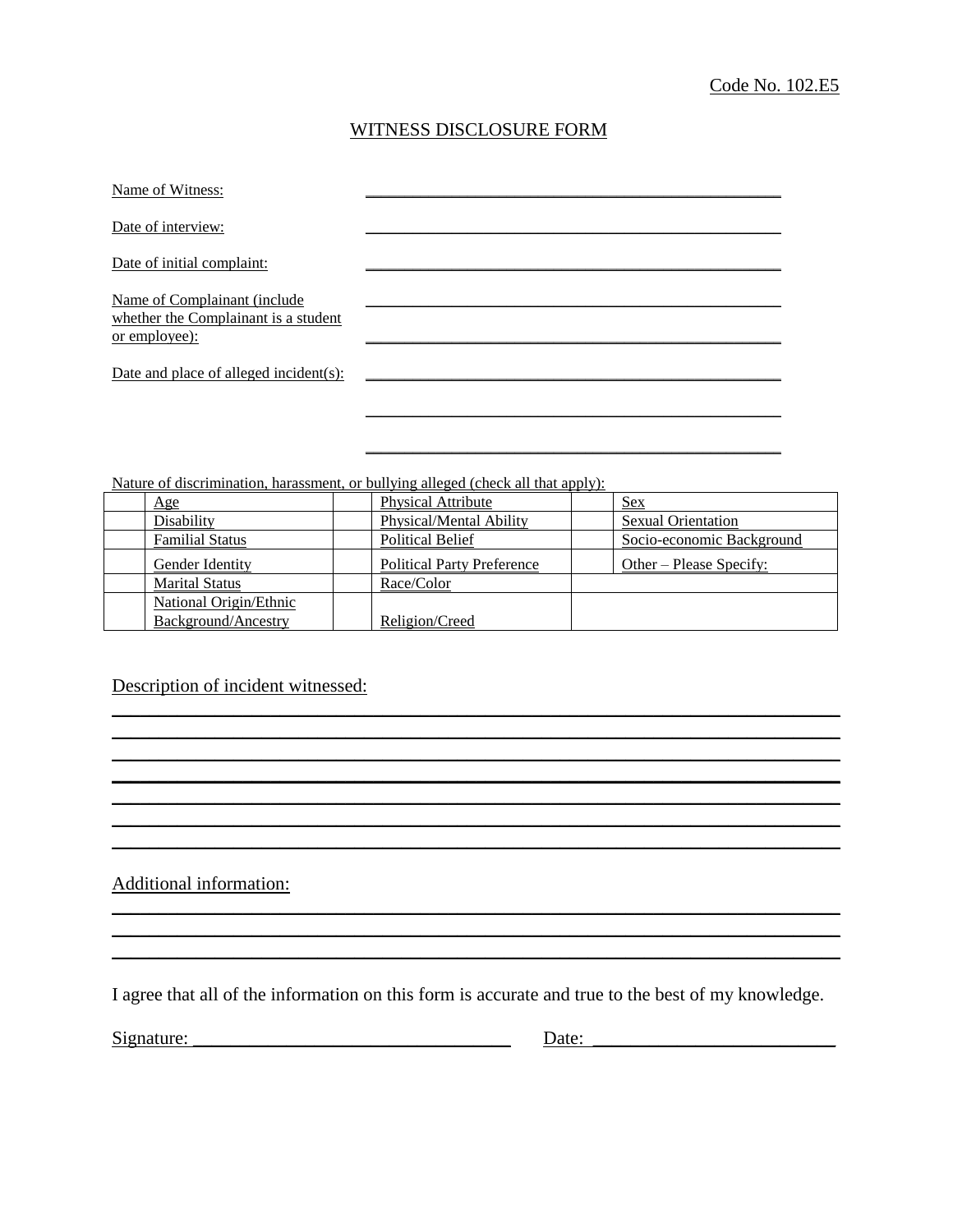# WITNESS DISCLOSURE FORM

| Name of Witness:                                      |  |
|-------------------------------------------------------|--|
| Date of interview:                                    |  |
| Date of initial complaint:                            |  |
| Name of Complainant (include                          |  |
| whether the Complainant is a student<br>or employee): |  |
|                                                       |  |
| Date and place of alleged incident(s):                |  |
|                                                       |  |

Nature of discrimination, harassment, or bullying alleged (check all that apply):

| <u>Age</u>             | <b>Physical Attribute</b>         | --- | <b>Sex</b>                |
|------------------------|-----------------------------------|-----|---------------------------|
| Disability             | Physical/Mental Ability           |     | <b>Sexual Orientation</b> |
| <b>Familial Status</b> | <b>Political Belief</b>           |     | Socio-economic Background |
| Gender Identity        | <b>Political Party Preference</b> |     | Other – Please Specify:   |
| <b>Marital Status</b>  | Race/Color                        |     |                           |
| National Origin/Ethnic |                                   |     |                           |
| Background/Ancestry    | Religion/Creed                    |     |                           |

\_\_\_\_\_\_\_\_\_\_\_\_\_\_\_\_\_\_\_\_\_\_\_\_\_\_\_\_\_\_\_\_\_\_\_\_\_\_\_\_\_\_\_\_\_\_\_\_\_\_\_\_\_\_\_\_\_\_\_\_\_\_\_\_\_\_\_\_\_\_\_\_\_\_\_\_\_\_ \_\_\_\_\_\_\_\_\_\_\_\_\_\_\_\_\_\_\_\_\_\_\_\_\_\_\_\_\_\_\_\_\_\_\_\_\_\_\_\_\_\_\_\_\_\_\_\_\_\_\_\_\_\_\_\_\_\_\_\_\_\_\_\_\_\_\_\_\_\_\_\_\_\_\_\_\_\_  $\_$  , and the set of the set of the set of the set of the set of the set of the set of the set of the set of the set of the set of the set of the set of the set of the set of the set of the set of the set of the set of th \_\_\_\_\_\_\_\_\_\_\_\_\_\_\_\_\_\_\_\_\_\_\_\_\_\_\_\_\_\_\_\_\_\_\_\_\_\_\_\_\_\_\_\_\_\_\_\_\_\_\_\_\_\_\_\_\_\_\_\_\_\_\_\_\_\_\_\_\_\_\_\_\_\_\_\_\_\_ \_\_\_\_\_\_\_\_\_\_\_\_\_\_\_\_\_\_\_\_\_\_\_\_\_\_\_\_\_\_\_\_\_\_\_\_\_\_\_\_\_\_\_\_\_\_\_\_\_\_\_\_\_\_\_\_\_\_\_\_\_\_\_\_\_\_\_\_\_\_\_\_\_\_\_\_\_\_ \_\_\_\_\_\_\_\_\_\_\_\_\_\_\_\_\_\_\_\_\_\_\_\_\_\_\_\_\_\_\_\_\_\_\_\_\_\_\_\_\_\_\_\_\_\_\_\_\_\_\_\_\_\_\_\_\_\_\_\_\_\_\_\_\_\_\_\_\_\_\_\_\_\_\_\_\_\_  $\_$  , and the set of the set of the set of the set of the set of the set of the set of the set of the set of the set of the set of the set of the set of the set of the set of the set of the set of the set of the set of th

\_\_\_\_\_\_\_\_\_\_\_\_\_\_\_\_\_\_\_\_\_\_\_\_\_\_\_\_\_\_\_\_\_\_\_\_\_\_\_\_\_\_\_\_\_\_\_\_\_\_\_\_\_

#### Description of incident witnessed:

Additional information:

I agree that all of the information on this form is accurate and true to the best of my knowledge.

\_\_\_\_\_\_\_\_\_\_\_\_\_\_\_\_\_\_\_\_\_\_\_\_\_\_\_\_\_\_\_\_\_\_\_\_\_\_\_\_\_\_\_\_\_\_\_\_\_\_\_\_\_\_\_\_\_\_\_\_\_\_\_\_\_\_\_\_\_\_\_\_\_\_\_\_\_\_ \_\_\_\_\_\_\_\_\_\_\_\_\_\_\_\_\_\_\_\_\_\_\_\_\_\_\_\_\_\_\_\_\_\_\_\_\_\_\_\_\_\_\_\_\_\_\_\_\_\_\_\_\_\_\_\_\_\_\_\_\_\_\_\_\_\_\_\_\_\_\_\_\_\_\_\_\_\_  $\_$  , and the set of the set of the set of the set of the set of the set of the set of the set of the set of the set of the set of the set of the set of the set of the set of the set of the set of the set of the set of th

Signature: \_\_\_\_\_\_\_\_\_\_\_\_\_\_\_\_\_\_\_\_\_\_\_\_\_\_\_\_\_\_\_\_\_\_ Date: \_\_\_\_\_\_\_\_\_\_\_\_\_\_\_\_\_\_\_\_\_\_\_\_\_\_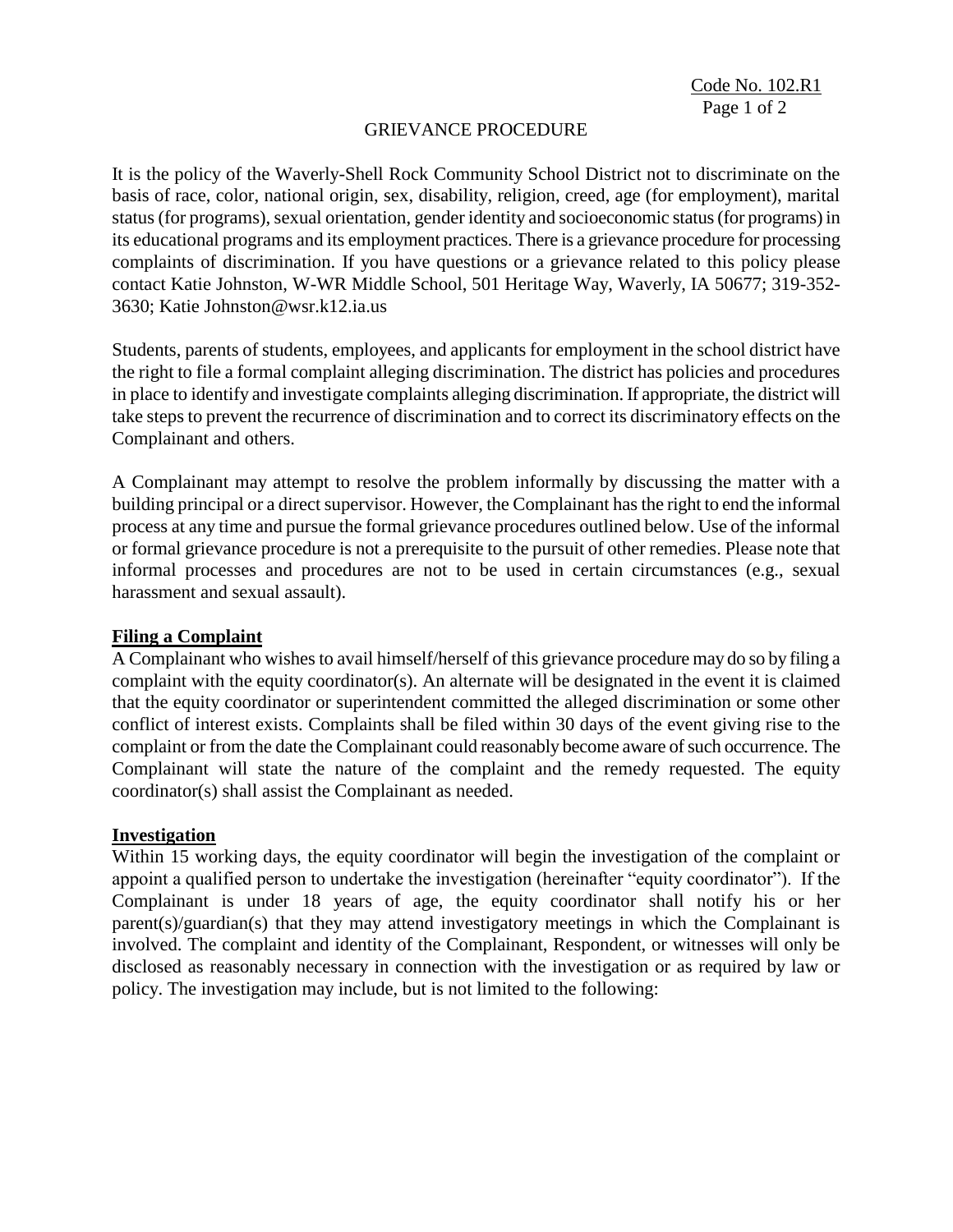#### GRIEVANCE PROCEDURE

It is the policy of the Waverly-Shell Rock Community School District not to discriminate on the basis of race, color, national origin, sex, disability, religion, creed, age (for employment), marital status (for programs), sexual orientation, gender identity and socioeconomic status (for programs) in its educational programs and its employment practices. There is a grievance procedure for processing complaints of discrimination. If you have questions or a grievance related to this policy please contact Katie Johnston, W-WR Middle School, 501 Heritage Way, Waverly, IA 50677; 319-352- 3630; Katie Johnston@wsr.k12.ia.us

Students, parents of students, employees, and applicants for employment in the school district have the right to file a formal complaint alleging discrimination. The district has policies and procedures in place to identify and investigate complaints alleging discrimination. If appropriate, the district will take steps to prevent the recurrence of discrimination and to correct its discriminatory effects on the Complainant and others.

A Complainant may attempt to resolve the problem informally by discussing the matter with a building principal or a direct supervisor. However, the Complainant has the right to end the informal process at any time and pursue the formal grievance procedures outlined below. Use of the informal or formal grievance procedure is not a prerequisite to the pursuit of other remedies. Please note that informal processes and procedures are not to be used in certain circumstances (e.g., sexual harassment and sexual assault).

#### **Filing a Complaint**

A Complainant who wishes to avail himself/herself of this grievance procedure may do so by filing a complaint with the equity coordinator(s). An alternate will be designated in the event it is claimed that the equity coordinator or superintendent committed the alleged discrimination or some other conflict of interest exists. Complaints shall be filed within 30 days of the event giving rise to the complaint or from the date the Complainant could reasonably become aware of such occurrence*.* The Complainant will state the nature of the complaint and the remedy requested. The equity coordinator(s) shall assist the Complainant as needed.

#### **Investigation**

Within 15 working days, the equity coordinator will begin the investigation of the complaint or appoint a qualified person to undertake the investigation (hereinafter "equity coordinator"). If the Complainant is under 18 years of age, the equity coordinator shall notify his or her parent(s)/guardian(s) that they may attend investigatory meetings in which the Complainant is involved. The complaint and identity of the Complainant, Respondent, or witnesses will only be disclosed as reasonably necessary in connection with the investigation or as required by law or policy. The investigation may include, but is not limited to the following: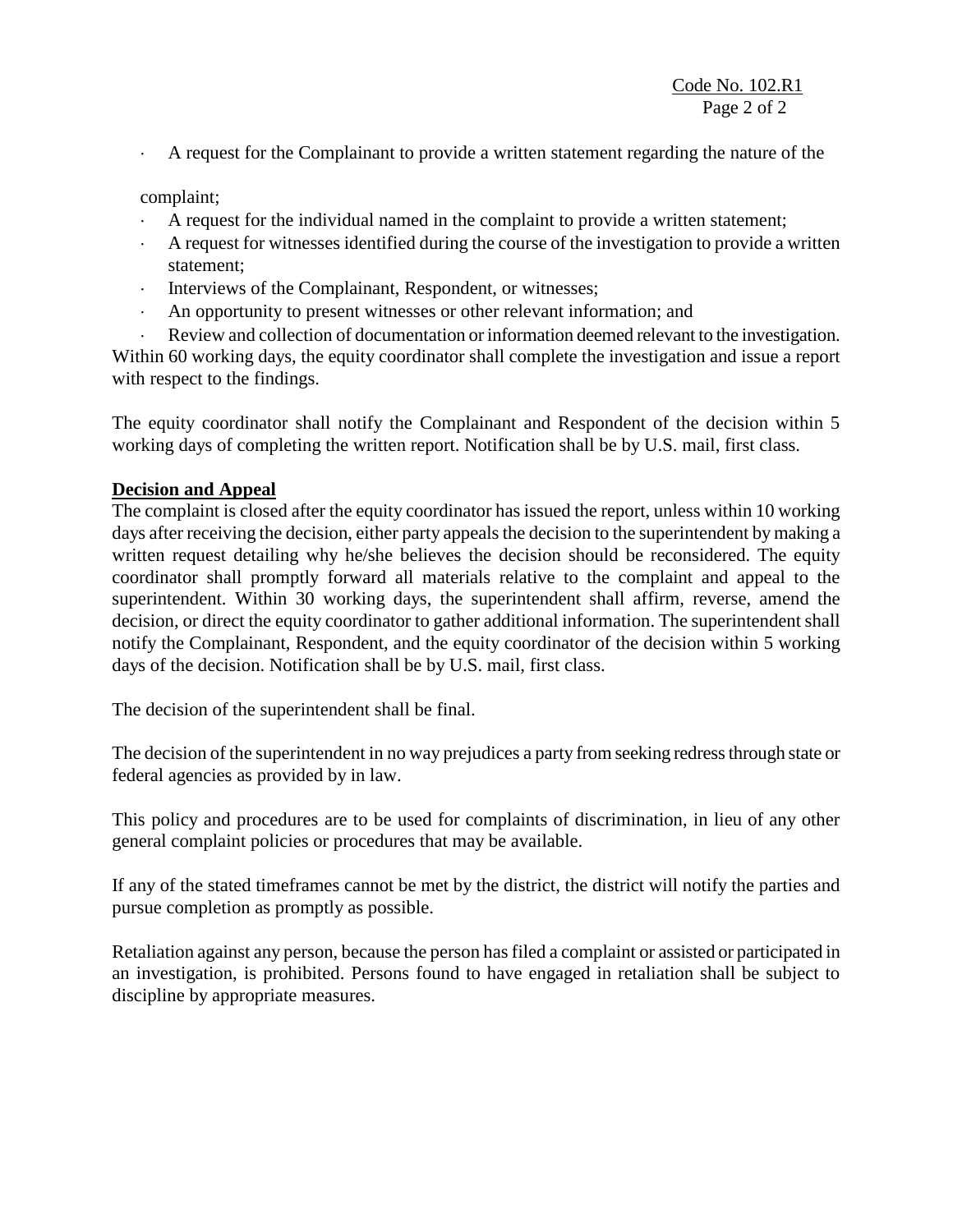A request for the Complainant to provide a written statement regarding the nature of the

complaint;

- A request for the individual named in the complaint to provide a written statement;
- A request for witnesses identified during the course of the investigation to provide a written statement;
- Interviews of the Complainant, Respondent, or witnesses;
- An opportunity to present witnesses or other relevant information; and

 Review and collection of documentation or information deemed relevant to the investigation. Within 60 working days, the equity coordinator shall complete the investigation and issue a report with respect to the findings.

The equity coordinator shall notify the Complainant and Respondent of the decision within 5 working days of completing the written report. Notification shall be by U.S. mail, first class.

#### **Decision and Appeal**

The complaint is closed after the equity coordinator has issued the report, unless within 10 working days after receiving the decision, either party appeals the decision to the superintendent by making a written request detailing why he/she believes the decision should be reconsidered. The equity coordinator shall promptly forward all materials relative to the complaint and appeal to the superintendent. Within 30 working days, the superintendent shall affirm, reverse, amend the decision, or direct the equity coordinator to gather additional information. The superintendent shall notify the Complainant, Respondent, and the equity coordinator of the decision within 5 working days of the decision. Notification shall be by U.S. mail, first class.

The decision of the superintendent shall be final.

The decision of the superintendent in no way prejudices a party from seeking redress through state or federal agencies as provided by in law.

This policy and procedures are to be used for complaints of discrimination, in lieu of any other general complaint policies or procedures that may be available.

If any of the stated timeframes cannot be met by the district, the district will notify the parties and pursue completion as promptly as possible.

Retaliation against any person, because the person has filed a complaint or assisted or participated in an investigation, is prohibited. Persons found to have engaged in retaliation shall be subject to discipline by appropriate measures.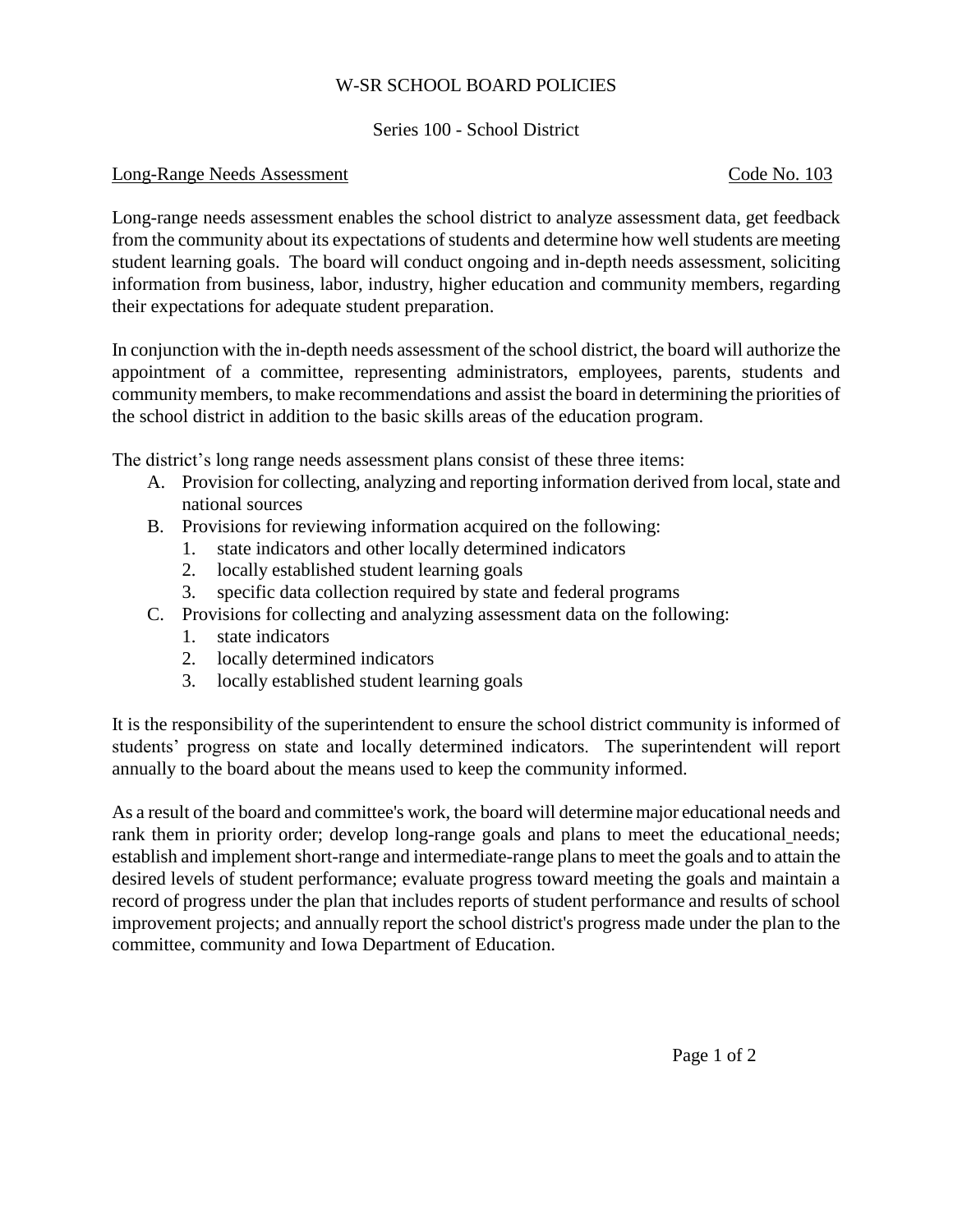Series 100 - School District

#### Long-Range Needs Assessment Code No. 103

Long-range needs assessment enables the school district to analyze assessment data, get feedback from the community about its expectations of students and determine how well students are meeting student learning goals. The board will conduct ongoing and in-depth needs assessment, soliciting information from business, labor, industry, higher education and community members, regarding their expectations for adequate student preparation.

In conjunction with the in-depth needs assessment of the school district, the board will authorize the appointment of a committee, representing administrators, employees, parents, students and community members, to make recommendations and assist the board in determining the priorities of the school district in addition to the basic skills areas of the education program.

The district's long range needs assessment plans consist of these three items:

- A. Provision for collecting, analyzing and reporting information derived from local, state and national sources
- B. Provisions for reviewing information acquired on the following:
	- 1. state indicators and other locally determined indicators
	- 2. locally established student learning goals
	- 3. specific data collection required by state and federal programs
- C. Provisions for collecting and analyzing assessment data on the following:
	- 1. state indicators
	- 2. locally determined indicators
	- 3. locally established student learning goals

It is the responsibility of the superintendent to ensure the school district community is informed of students' progress on state and locally determined indicators. The superintendent will report annually to the board about the means used to keep the community informed.

As a result of the board and committee's work, the board will determine major educational needs and rank them in priority order; develop long-range goals and plans to meet the educational needs; establish and implement short-range and intermediate-range plans to meet the goals and to attain the desired levels of student performance; evaluate progress toward meeting the goals and maintain a record of progress under the plan that includes reports of student performance and results of school improvement projects; and annually report the school district's progress made under the plan to the committee, community and Iowa Department of Education.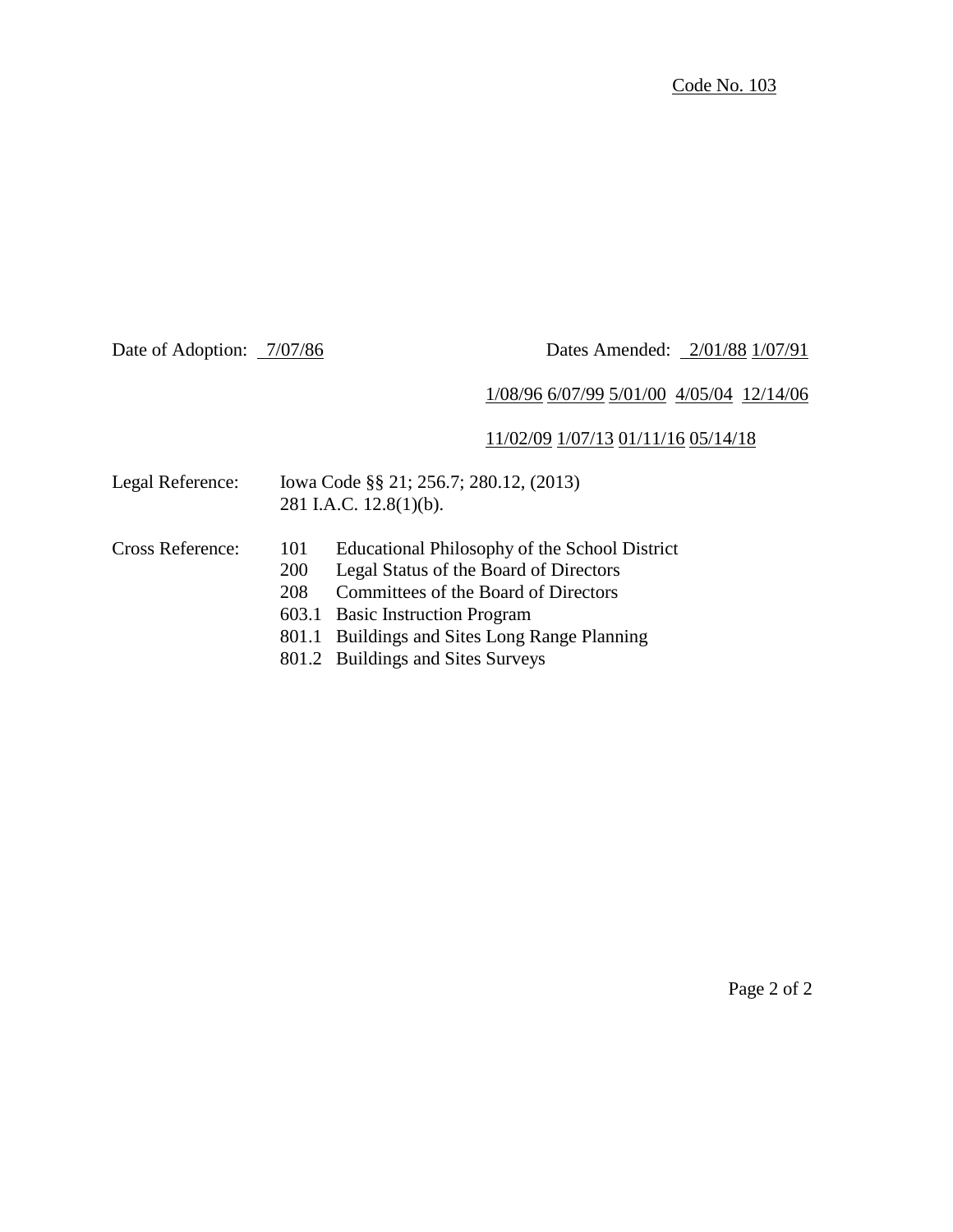Code No. 103

Date of Adoption:  $\frac{7}{07/86}$  Dates Amended:  $\frac{2}{01/88}$  1/07/91

#### 1/08/96 6/07/99 5/01/00 4/05/04 12/14/06

#### 11/02/09 1/07/13 01/11/16 05/14/18

Legal Reference: Iowa Code §§ 21; 256.7; 280.12, (2013) 281 I.A.C. 12.8(1)(b).

- Cross Reference: 101 Educational Philosophy of the School District
	- 200 Legal Status of the Board of Directors
	- 208 Committees of the Board of Directors
	- 603.1 Basic Instruction Program
	- 801.1 Buildings and Sites Long Range Planning
	- 801.2 Buildings and Sites Surveys

Page 2 of 2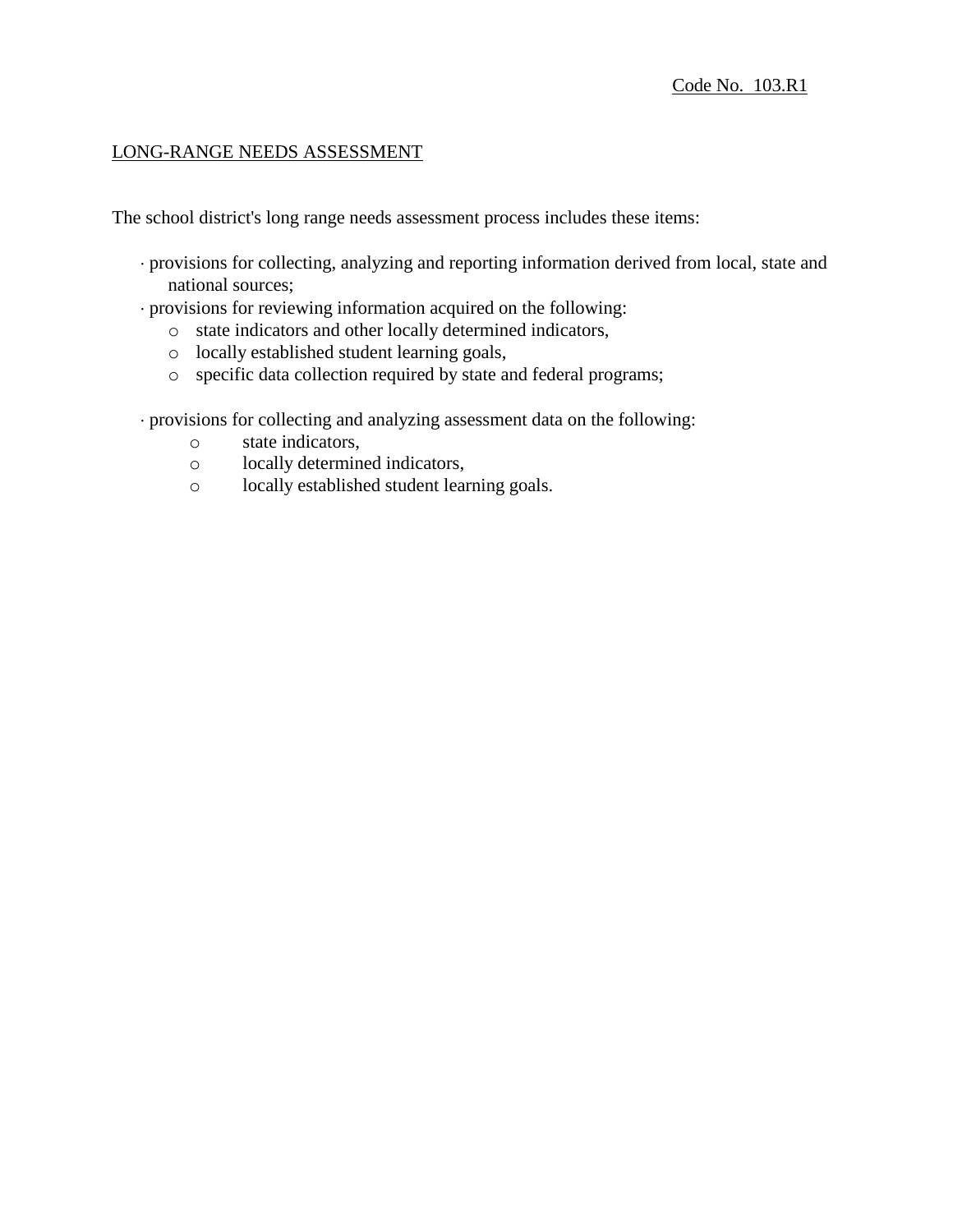## LONG-RANGE NEEDS ASSESSMENT

The school district's long range needs assessment process includes these items:

- provisions for collecting, analyzing and reporting information derived from local, state and national sources;
- provisions for reviewing information acquired on the following:
	- o state indicators and other locally determined indicators,
	- o locally established student learning goals,
	- o specific data collection required by state and federal programs;

provisions for collecting and analyzing assessment data on the following:

- o state indicators,
- o locally determined indicators,
- o locally established student learning goals.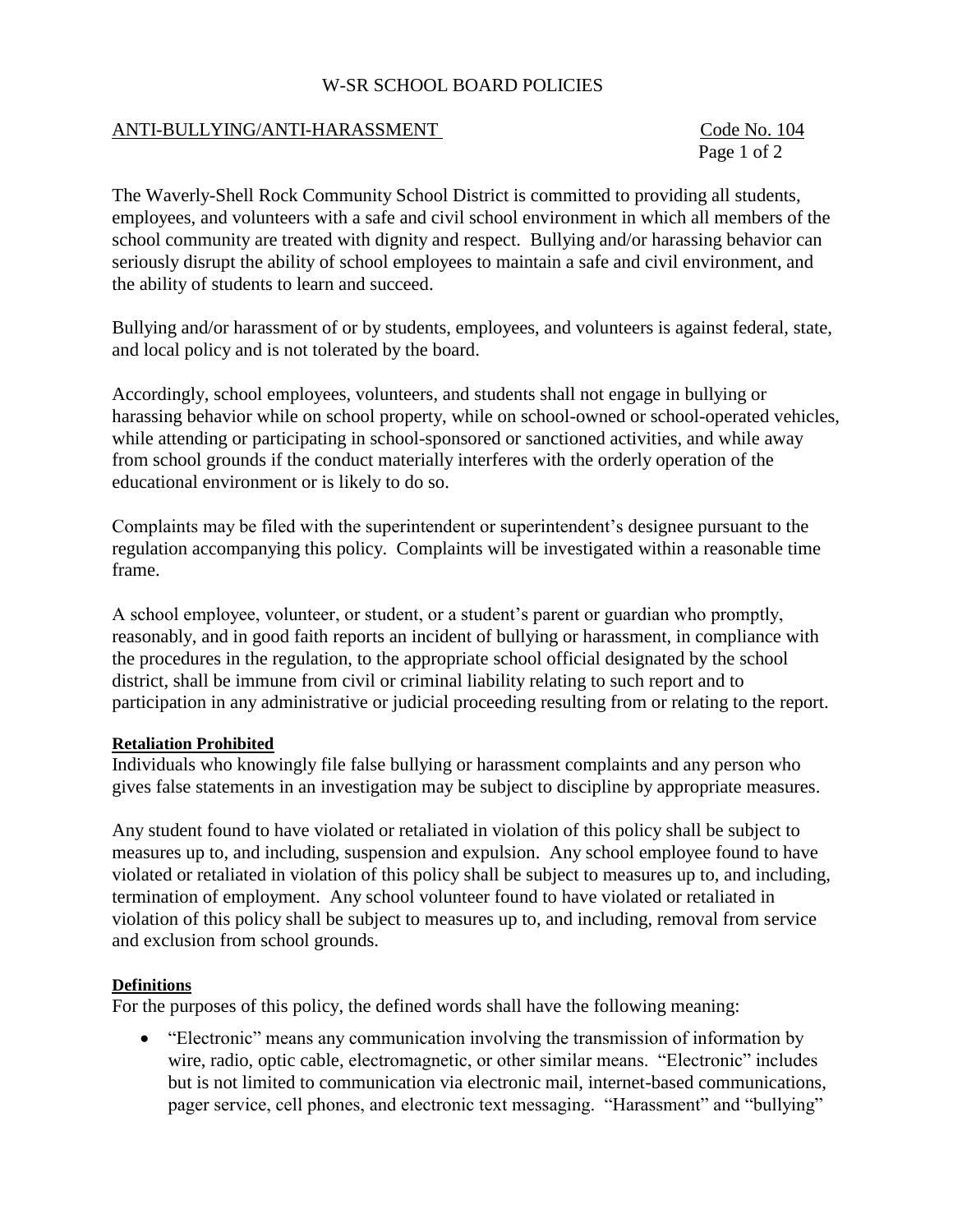## ANTI-BULLYING/ANTI-HARASSMENT Code No. 104

Page 1 of 2

The Waverly-Shell Rock Community School District is committed to providing all students, employees, and volunteers with a safe and civil school environment in which all members of the school community are treated with dignity and respect. Bullying and/or harassing behavior can seriously disrupt the ability of school employees to maintain a safe and civil environment, and the ability of students to learn and succeed.

Bullying and/or harassment of or by students, employees, and volunteers is against federal, state, and local policy and is not tolerated by the board.

Accordingly, school employees, volunteers, and students shall not engage in bullying or harassing behavior while on school property, while on school-owned or school-operated vehicles, while attending or participating in school-sponsored or sanctioned activities, and while away from school grounds if the conduct materially interferes with the orderly operation of the educational environment or is likely to do so.

Complaints may be filed with the superintendent or superintendent's designee pursuant to the regulation accompanying this policy. Complaints will be investigated within a reasonable time frame.

A school employee, volunteer, or student, or a student's parent or guardian who promptly, reasonably, and in good faith reports an incident of bullying or harassment, in compliance with the procedures in the regulation, to the appropriate school official designated by the school district, shall be immune from civil or criminal liability relating to such report and to participation in any administrative or judicial proceeding resulting from or relating to the report.

#### **Retaliation Prohibited**

Individuals who knowingly file false bullying or harassment complaints and any person who gives false statements in an investigation may be subject to discipline by appropriate measures.

Any student found to have violated or retaliated in violation of this policy shall be subject to measures up to, and including, suspension and expulsion. Any school employee found to have violated or retaliated in violation of this policy shall be subject to measures up to, and including, termination of employment. Any school volunteer found to have violated or retaliated in violation of this policy shall be subject to measures up to, and including, removal from service and exclusion from school grounds.

#### **Definitions**

For the purposes of this policy, the defined words shall have the following meaning:

 "Electronic" means any communication involving the transmission of information by wire, radio, optic cable, electromagnetic, or other similar means. "Electronic" includes but is not limited to communication via electronic mail, internet-based communications, pager service, cell phones, and electronic text messaging. "Harassment" and "bullying"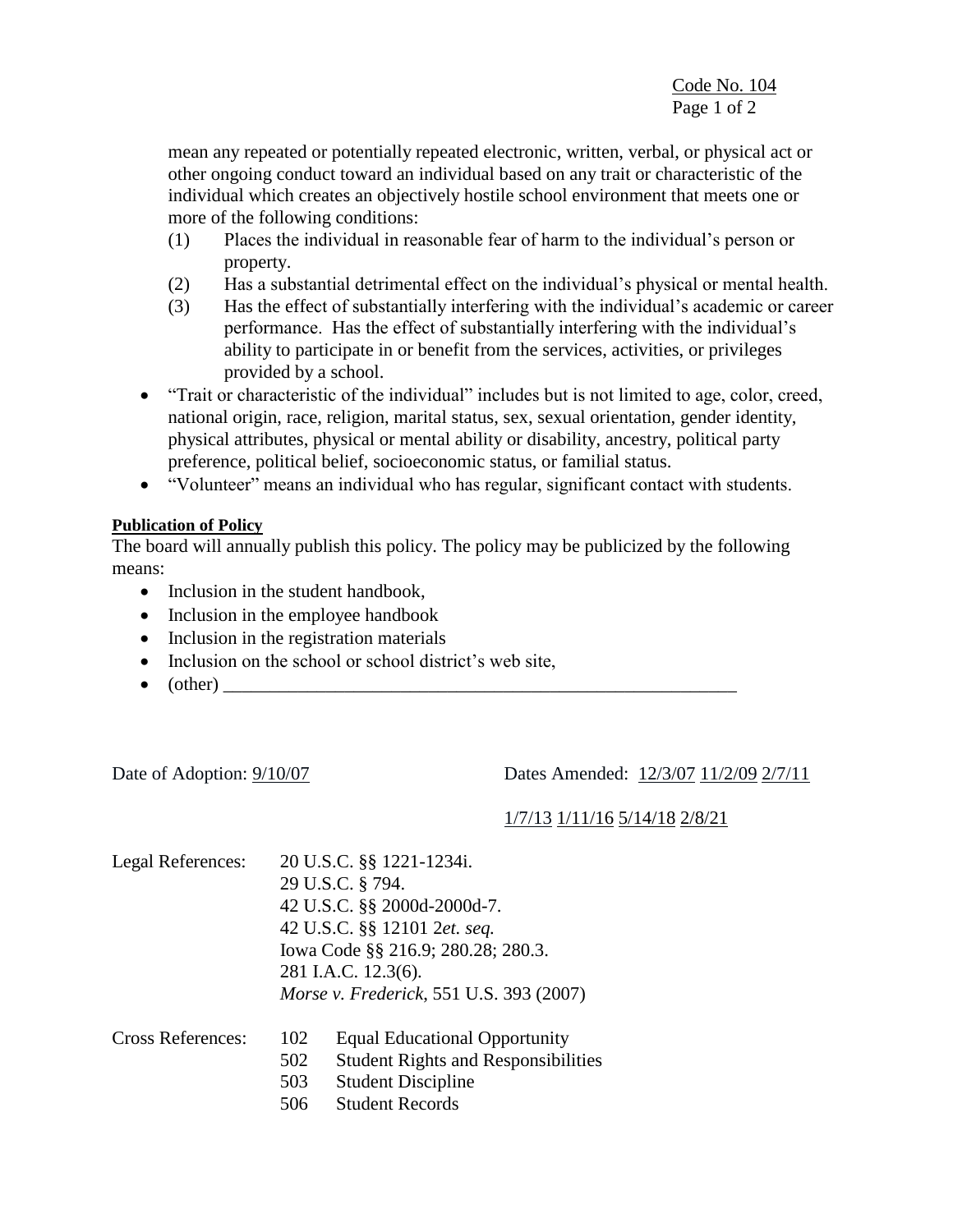Code No. 104 Page 1 of 2

mean any repeated or potentially repeated electronic, written, verbal, or physical act or other ongoing conduct toward an individual based on any trait or characteristic of the individual which creates an objectively hostile school environment that meets one or more of the following conditions:

- (1) Places the individual in reasonable fear of harm to the individual's person or property.
- (2) Has a substantial detrimental effect on the individual's physical or mental health.
- (3) Has the effect of substantially interfering with the individual's academic or career performance. Has the effect of substantially interfering with the individual's ability to participate in or benefit from the services, activities, or privileges provided by a school.
- "Trait or characteristic of the individual" includes but is not limited to age, color, creed, national origin, race, religion, marital status, sex, sexual orientation, gender identity, physical attributes, physical or mental ability or disability, ancestry, political party preference, political belief, socioeconomic status, or familial status.
- "Volunteer" means an individual who has regular, significant contact with students.

#### **Publication of Policy**

The board will annually publish this policy. The policy may be publicized by the following means:

- Inclusion in the student handbook.
- Inclusion in the employee handbook
- Inclusion in the registration materials
- Inclusion on the school or school district's web site.
- $\bullet$  (other)

Date of Adoption: 9/10/07 Dates Amended: 12/3/07 11/2/09 2/7/11

## 1/7/13 1/11/16 5/14/18 2/8/21

| Legal References: | 20 U.S.C. §§ 1221-1234i.<br>29 U.S.C. § 794.<br>42 U.S.C. §§ 2000d-2000d-7.<br>42 U.S.C. §§ 12101 2et. seq.<br>Iowa Code §§ 216.9; 280.28; 280.3.<br>281 I.A.C. 12.3(6).<br>Morse v. Frederick, 551 U.S. 393 (2007) |
|-------------------|---------------------------------------------------------------------------------------------------------------------------------------------------------------------------------------------------------------------|
| Cross References: | 102<br><b>Equal Educational Opportunity</b><br><b>Student Rights and Responsibilities</b><br>502<br>503<br><b>Student Discipline</b><br><b>Student Records</b><br>506                                               |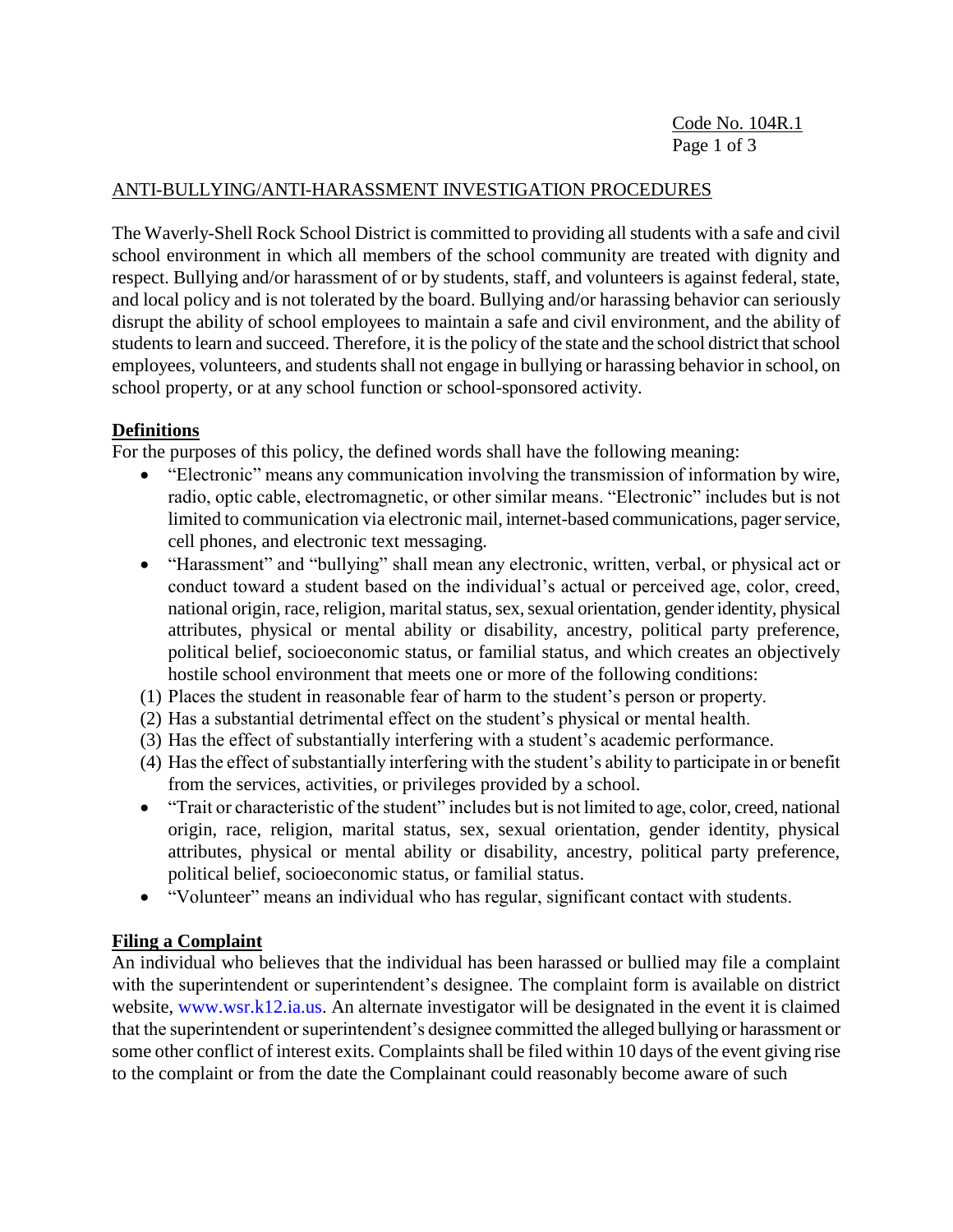Code No. 104R.1 Page 1 of 3

## ANTI-BULLYING/ANTI-HARASSMENT INVESTIGATION PROCEDURES

The Waverly-Shell Rock School District is committed to providing all students with a safe and civil school environment in which all members of the school community are treated with dignity and respect. Bullying and/or harassment of or by students, staff, and volunteers is against federal, state, and local policy and is not tolerated by the board. Bullying and/or harassing behavior can seriously disrupt the ability of school employees to maintain a safe and civil environment, and the ability of students to learn and succeed. Therefore, it is the policy of the state and the school district that school employees, volunteers, and students shall not engage in bullying or harassing behavior in school, on school property, or at any school function or school-sponsored activity.

#### **Definitions**

For the purposes of this policy, the defined words shall have the following meaning:

- "Electronic" means any communication involving the transmission of information by wire, radio, optic cable, electromagnetic, or other similar means. "Electronic" includes but is not limited to communication via electronic mail, internet-based communications, pager service, cell phones, and electronic text messaging.
- "Harassment" and "bullying" shall mean any electronic, written, verbal, or physical act or conduct toward a student based on the individual's actual or perceived age, color, creed, national origin, race, religion, marital status, sex, sexual orientation, gender identity, physical attributes, physical or mental ability or disability, ancestry, political party preference, political belief, socioeconomic status, or familial status, and which creates an objectively hostile school environment that meets one or more of the following conditions:
- (1) Places the student in reasonable fear of harm to the student's person or property.
- (2) Has a substantial detrimental effect on the student's physical or mental health.
- (3) Has the effect of substantially interfering with a student's academic performance.
- (4) Has the effect of substantially interfering with the student's ability to participate in or benefit from the services, activities, or privileges provided by a school.
- "Trait or characteristic of the student" includes but is not limited to age, color, creed, national origin, race, religion, marital status, sex, sexual orientation, gender identity, physical attributes, physical or mental ability or disability, ancestry, political party preference, political belief, socioeconomic status, or familial status.
- "Volunteer" means an individual who has regular, significant contact with students.

## **Filing a Complaint**

An individual who believes that the individual has been harassed or bullied may file a complaint with the superintendent or superintendent's designee. The complaint form is available on district website, [www.wsr.k12.ia.us.](http://www.wsr.k12.ia.us/) An alternate investigator will be designated in the event it is claimed that the superintendent or superintendent's designee committed the alleged bullying or harassment or some other conflict of interest exits. Complaints shall be filed within 10 days of the event giving rise to the complaint or from the date the Complainant could reasonably become aware of such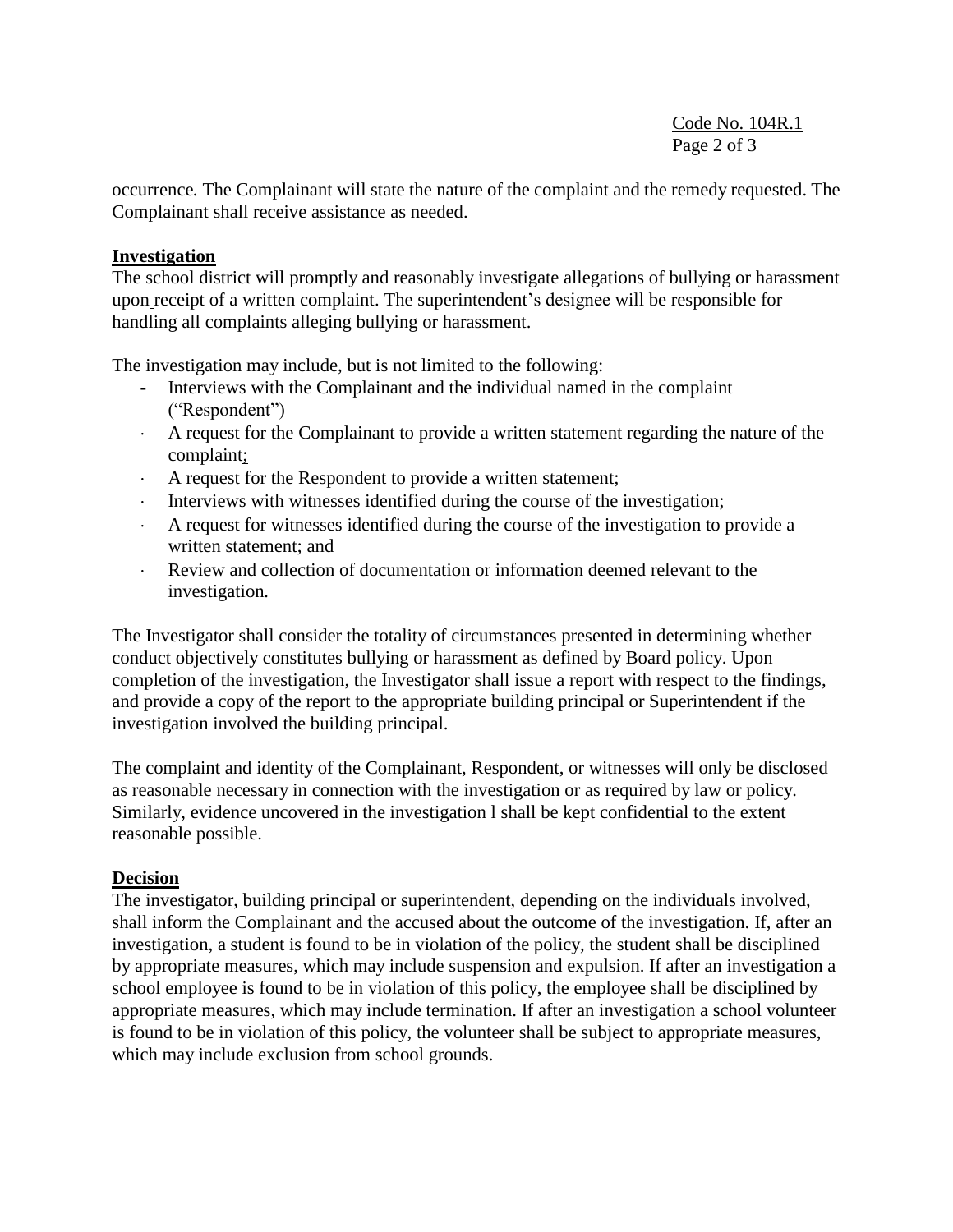## Code No. 104R.1 Page 2 of 3

occurrence*.* The Complainant will state the nature of the complaint and the remedy requested. The Complainant shall receive assistance as needed.

#### **Investigation**

The school district will promptly and reasonably investigate allegations of bullying or harassment upon receipt of a written complaint. The superintendent's designee will be responsible for handling all complaints alleging bullying or harassment.

The investigation may include, but is not limited to the following:

- Interviews with the Complainant and the individual named in the complaint ("Respondent")
- A request for the Complainant to provide a written statement regarding the nature of the complaint;
- A request for the Respondent to provide a written statement;
- Interviews with witnesses identified during the course of the investigation;
- A request for witnesses identified during the course of the investigation to provide a written statement; and
- Review and collection of documentation or information deemed relevant to the investigation*.*

The Investigator shall consider the totality of circumstances presented in determining whether conduct objectively constitutes bullying or harassment as defined by Board policy. Upon completion of the investigation, the Investigator shall issue a report with respect to the findings, and provide a copy of the report to the appropriate building principal or Superintendent if the investigation involved the building principal.

The complaint and identity of the Complainant, Respondent, or witnesses will only be disclosed as reasonable necessary in connection with the investigation or as required by law or policy. Similarly, evidence uncovered in the investigation l shall be kept confidential to the extent reasonable possible.

#### **Decision**

The investigator, building principal or superintendent, depending on the individuals involved, shall inform the Complainant and the accused about the outcome of the investigation. If, after an investigation, a student is found to be in violation of the policy, the student shall be disciplined by appropriate measures, which may include suspension and expulsion. If after an investigation a school employee is found to be in violation of this policy, the employee shall be disciplined by appropriate measures, which may include termination. If after an investigation a school volunteer is found to be in violation of this policy, the volunteer shall be subject to appropriate measures, which may include exclusion from school grounds.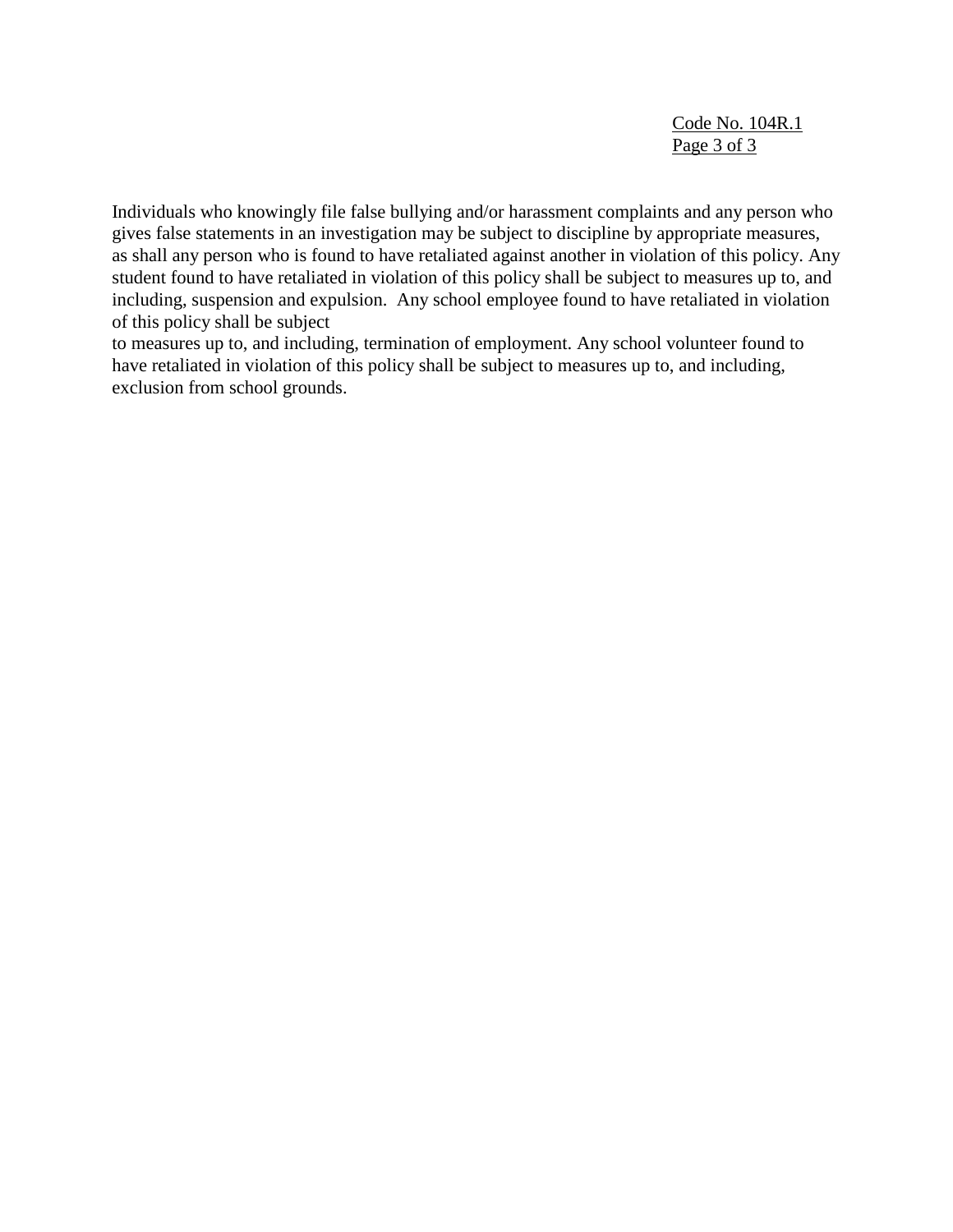Code No. 104R.1 Page 3 of 3

Individuals who knowingly file false bullying and/or harassment complaints and any person who gives false statements in an investigation may be subject to discipline by appropriate measures, as shall any person who is found to have retaliated against another in violation of this policy. Any student found to have retaliated in violation of this policy shall be subject to measures up to, and including, suspension and expulsion. Any school employee found to have retaliated in violation of this policy shall be subject

to measures up to, and including, termination of employment. Any school volunteer found to have retaliated in violation of this policy shall be subject to measures up to, and including, exclusion from school grounds.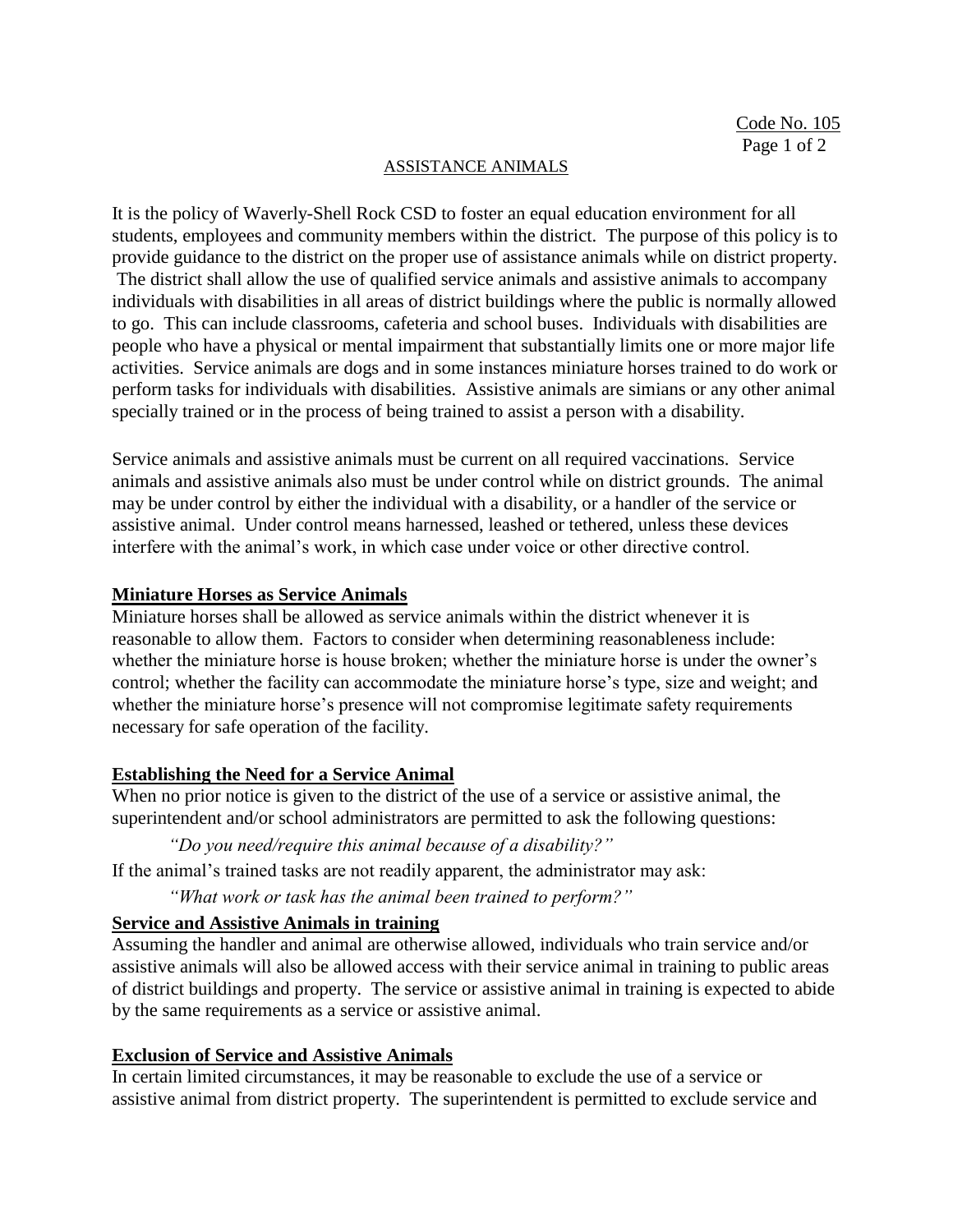#### ASSISTANCE ANIMALS

It is the policy of Waverly-Shell Rock CSD to foster an equal education environment for all students, employees and community members within the district. The purpose of this policy is to provide guidance to the district on the proper use of assistance animals while on district property. The district shall allow the use of qualified service animals and assistive animals to accompany individuals with disabilities in all areas of district buildings where the public is normally allowed to go. This can include classrooms, cafeteria and school buses. Individuals with disabilities are people who have a physical or mental impairment that substantially limits one or more major life activities. Service animals are dogs and in some instances miniature horses trained to do work or perform tasks for individuals with disabilities. Assistive animals are simians or any other animal specially trained or in the process of being trained to assist a person with a disability.

Service animals and assistive animals must be current on all required vaccinations. Service animals and assistive animals also must be under control while on district grounds. The animal may be under control by either the individual with a disability, or a handler of the service or assistive animal. Under control means harnessed, leashed or tethered, unless these devices interfere with the animal's work, in which case under voice or other directive control.

## **Miniature Horses as Service Animals**

Miniature horses shall be allowed as service animals within the district whenever it is reasonable to allow them. Factors to consider when determining reasonableness include: whether the miniature horse is house broken; whether the miniature horse is under the owner's control; whether the facility can accommodate the miniature horse's type, size and weight; and whether the miniature horse's presence will not compromise legitimate safety requirements necessary for safe operation of the facility.

# **Establishing the Need for a Service Animal**

When no prior notice is given to the district of the use of a service or assistive animal, the superintendent and/or school administrators are permitted to ask the following questions:

*"Do you need/require this animal because of a disability?"*  If the animal's trained tasks are not readily apparent, the administrator may ask:

*"What work or task has the animal been trained to perform?"*

## **Service and Assistive Animals in training**

Assuming the handler and animal are otherwise allowed, individuals who train service and/or assistive animals will also be allowed access with their service animal in training to public areas of district buildings and property. The service or assistive animal in training is expected to abide by the same requirements as a service or assistive animal.

# **Exclusion of Service and Assistive Animals**

In certain limited circumstances, it may be reasonable to exclude the use of a service or assistive animal from district property. The superintendent is permitted to exclude service and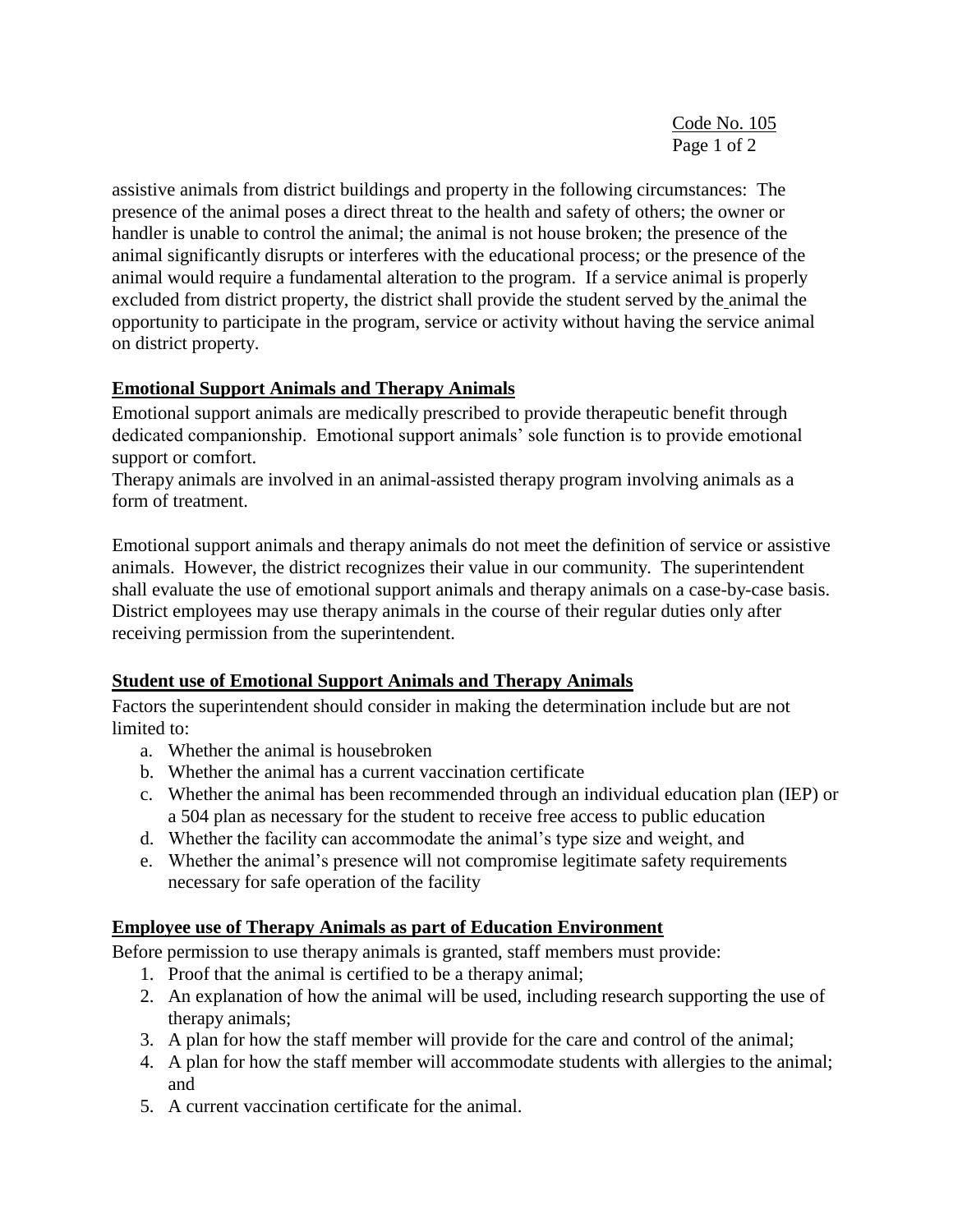Code No. 105 Page 1 of 2

assistive animals from district buildings and property in the following circumstances: The presence of the animal poses a direct threat to the health and safety of others; the owner or handler is unable to control the animal; the animal is not house broken; the presence of the animal significantly disrupts or interferes with the educational process; or the presence of the animal would require a fundamental alteration to the program. If a service animal is properly excluded from district property, the district shall provide the student served by the animal the opportunity to participate in the program, service or activity without having the service animal on district property.

# **Emotional Support Animals and Therapy Animals**

Emotional support animals are medically prescribed to provide therapeutic benefit through dedicated companionship. Emotional support animals' sole function is to provide emotional support or comfort.

Therapy animals are involved in an animal-assisted therapy program involving animals as a form of treatment.

Emotional support animals and therapy animals do not meet the definition of service or assistive animals. However, the district recognizes their value in our community. The superintendent shall evaluate the use of emotional support animals and therapy animals on a case-by-case basis. District employees may use therapy animals in the course of their regular duties only after receiving permission from the superintendent.

## **Student use of Emotional Support Animals and Therapy Animals**

Factors the superintendent should consider in making the determination include but are not limited to:

- a. Whether the animal is housebroken
- b. Whether the animal has a current vaccination certificate
- c. Whether the animal has been recommended through an individual education plan (IEP) or a 504 plan as necessary for the student to receive free access to public education
- d. Whether the facility can accommodate the animal's type size and weight, and
- e. Whether the animal's presence will not compromise legitimate safety requirements necessary for safe operation of the facility

# **Employee use of Therapy Animals as part of Education Environment**

Before permission to use therapy animals is granted, staff members must provide:

- 1. Proof that the animal is certified to be a therapy animal;
- 2. An explanation of how the animal will be used, including research supporting the use of therapy animals;
- 3. A plan for how the staff member will provide for the care and control of the animal;
- 4. A plan for how the staff member will accommodate students with allergies to the animal; and
- 5. A current vaccination certificate for the animal.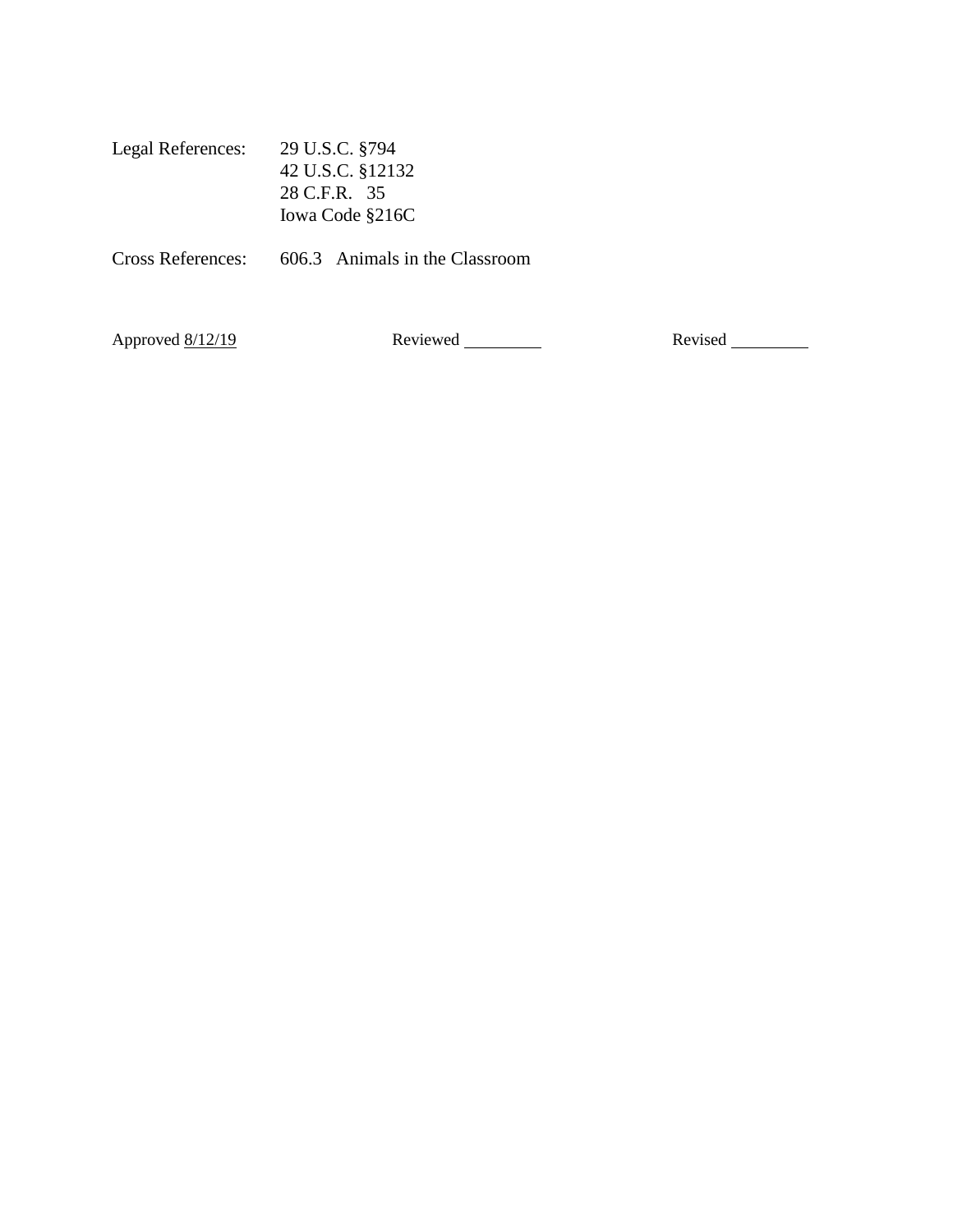| Legal References: | 29 U.S.C. §794   |
|-------------------|------------------|
|                   | 42 U.S.C. §12132 |
|                   | 28 C.F.R. 35     |
|                   | Iowa Code §216C  |

Cross References: 606.3 Animals in the Classroom

Approved 8/12/19 Reviewed Reviewed Revised